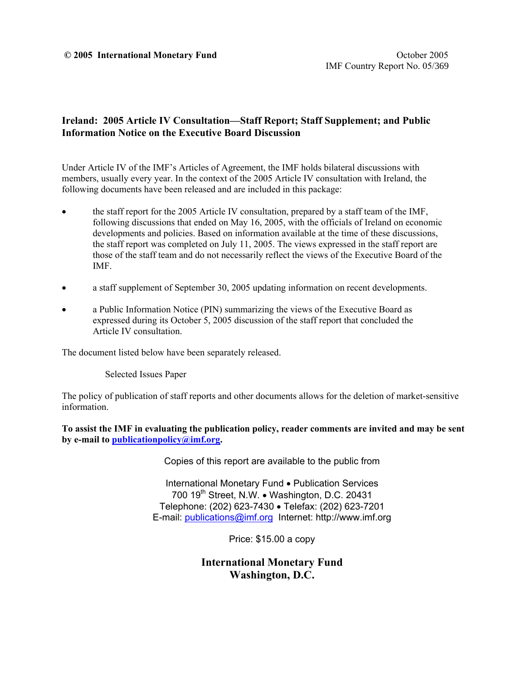#### **C** 2005 International Monetary Fund **C** 2005 **International Monetary Fund**

### **Ireland: 2005 Article IV Consultation—Staff Report; Staff Supplement; and Public Information Notice on the Executive Board Discussion**

Under Article IV of the IMF's Articles of Agreement, the IMF holds bilateral discussions with members, usually every year. In the context of the 2005 Article IV consultation with Ireland, the following documents have been released and are included in this package:

- the staff report for the 2005 Article IV consultation, prepared by a staff team of the IMF, following discussions that ended on May 16, 2005, with the officials of Ireland on economic developments and policies. Based on information available at the time of these discussions, the staff report was completed on July 11, 2005. The views expressed in the staff report are those of the staff team and do not necessarily reflect the views of the Executive Board of the IMF.
- a staff supplement of September 30, 2005 updating information on recent developments.
- a Public Information Notice (PIN) summarizing the views of the Executive Board as expressed during its October 5, 2005 discussion of the staff report that concluded the Article IV consultation.

The document listed below have been separately released.

Selected Issues Paper

The policy of publication of staff reports and other documents allows for the deletion of market-sensitive information.

**To assist the IMF in evaluating the publication policy, reader comments are invited and may be sent by e-mail to publicationpolicy@imf.org.**

Copies of this report are available to the public from

International Monetary Fund • Publication Services 700 19<sup>th</sup> Street, N.W. • Washington, D.C. 20431 Telephone: (202) 623-7430 • Telefax: (202) 623-7201 E-mail: publications@imf.org Internet: http://www.imf.org

Price: \$15.00 a copy

**International Monetary Fund Washington, D.C.**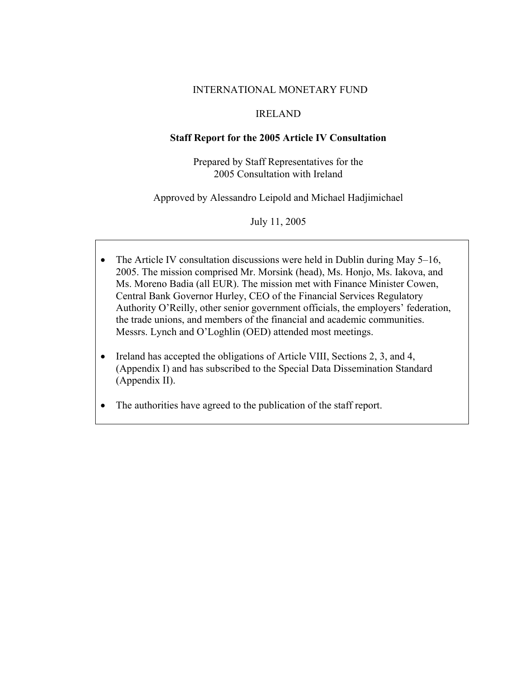### INTERNATIONAL MONETARY FUND

### IRELAND

### **Staff Report for the 2005 Article IV Consultation**

Prepared by Staff Representatives for the 2005 Consultation with Ireland

Approved by Alessandro Leipold and Michael Hadjimichael

July 11, 2005

- The Article IV consultation discussions were held in Dublin during May 5–16, 2005. The mission comprised Mr. Morsink (head), Ms. Honjo, Ms. Iakova, and Ms. Moreno Badia (all EUR). The mission met with Finance Minister Cowen, Central Bank Governor Hurley, CEO of the Financial Services Regulatory Authority O'Reilly, other senior government officials, the employers' federation, the trade unions, and members of the financial and academic communities. Messrs. Lynch and O'Loghlin (OED) attended most meetings.
- Ireland has accepted the obligations of Article VIII, Sections 2, 3, and 4, (Appendix I) and has subscribed to the Special Data Dissemination Standard (Appendix II).
- The authorities have agreed to the publication of the staff report.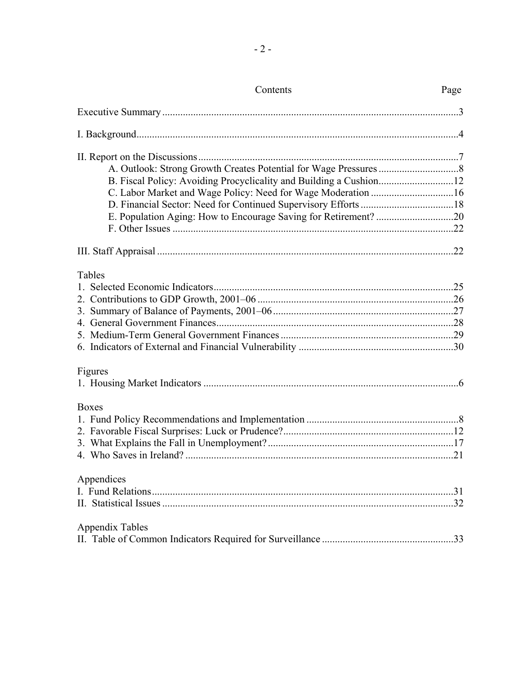| Contents               | Page |
|------------------------|------|
|                        |      |
|                        |      |
|                        |      |
|                        |      |
|                        |      |
|                        |      |
|                        |      |
|                        |      |
|                        |      |
|                        |      |
| Tables                 |      |
|                        |      |
|                        |      |
|                        |      |
|                        |      |
|                        |      |
|                        |      |
| Figures                |      |
|                        |      |
| <b>Boxes</b>           |      |
|                        |      |
|                        |      |
|                        |      |
|                        |      |
| Appendices             |      |
|                        | 31   |
|                        |      |
| <b>Appendix Tables</b> |      |
|                        |      |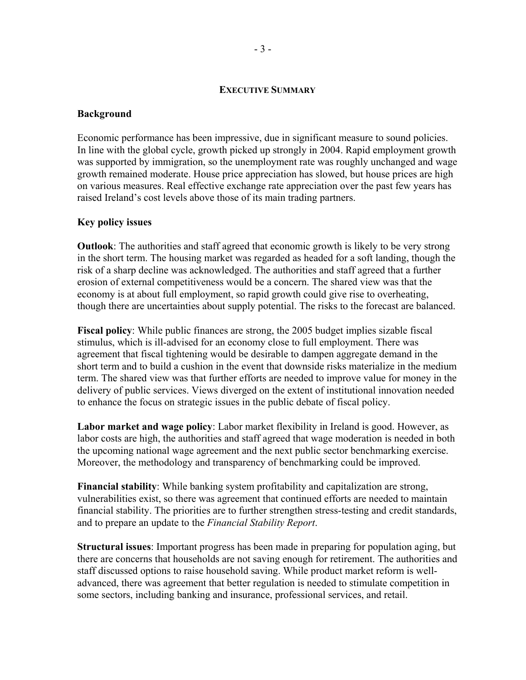#### **EXECUTIVE SUMMARY**

#### **Background**

Economic performance has been impressive, due in significant measure to sound policies. In line with the global cycle, growth picked up strongly in 2004. Rapid employment growth was supported by immigration, so the unemployment rate was roughly unchanged and wage growth remained moderate. House price appreciation has slowed, but house prices are high on various measures. Real effective exchange rate appreciation over the past few years has raised Ireland's cost levels above those of its main trading partners.

#### **Key policy issues**

**Outlook**: The authorities and staff agreed that economic growth is likely to be very strong in the short term. The housing market was regarded as headed for a soft landing, though the risk of a sharp decline was acknowledged. The authorities and staff agreed that a further erosion of external competitiveness would be a concern. The shared view was that the economy is at about full employment, so rapid growth could give rise to overheating, though there are uncertainties about supply potential. The risks to the forecast are balanced.

**Fiscal policy**: While public finances are strong, the 2005 budget implies sizable fiscal stimulus, which is ill-advised for an economy close to full employment. There was agreement that fiscal tightening would be desirable to dampen aggregate demand in the short term and to build a cushion in the event that downside risks materialize in the medium term. The shared view was that further efforts are needed to improve value for money in the delivery of public services. Views diverged on the extent of institutional innovation needed to enhance the focus on strategic issues in the public debate of fiscal policy.

**Labor market and wage policy**: Labor market flexibility in Ireland is good. However, as labor costs are high, the authorities and staff agreed that wage moderation is needed in both the upcoming national wage agreement and the next public sector benchmarking exercise. Moreover, the methodology and transparency of benchmarking could be improved.

**Financial stability**: While banking system profitability and capitalization are strong, vulnerabilities exist, so there was agreement that continued efforts are needed to maintain financial stability. The priorities are to further strengthen stress-testing and credit standards, and to prepare an update to the *Financial Stability Report*.

**Structural issues**: Important progress has been made in preparing for population aging, but there are concerns that households are not saving enough for retirement. The authorities and staff discussed options to raise household saving. While product market reform is welladvanced, there was agreement that better regulation is needed to stimulate competition in some sectors, including banking and insurance, professional services, and retail.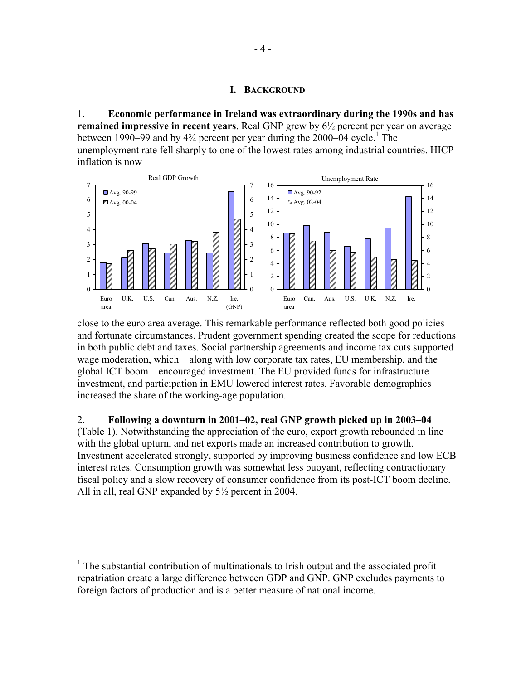#### **I. BACKGROUND**

1. **Economic performance in Ireland was extraordinary during the 1990s and has remained impressive in recent years**. Real GNP grew by 6½ percent per year on average between 1990–99 and by  $4\frac{3}{4}$  percent per year during the 2000–04 cycle.<sup>1</sup> The unemployment rate fell sharply to one of the lowest rates among industrial countries. HICP inflation is now



close to the euro area average. This remarkable performance reflected both good policies and fortunate circumstances. Prudent government spending created the scope for reductions in both public debt and taxes. Social partnership agreements and income tax cuts supported wage moderation, which—along with low corporate tax rates, EU membership, and the global ICT boom—encouraged investment. The EU provided funds for infrastructure investment, and participation in EMU lowered interest rates. Favorable demographics increased the share of the working-age population.

2. **Following a downturn in 2001–02, real GNP growth picked up in 2003–04** 

(Table 1). Notwithstanding the appreciation of the euro, export growth rebounded in line with the global upturn, and net exports made an increased contribution to growth. Investment accelerated strongly, supported by improving business confidence and low ECB interest rates. Consumption growth was somewhat less buoyant, reflecting contractionary fiscal policy and a slow recovery of consumer confidence from its post-ICT boom decline. All in all, real GNP expanded by 5½ percent in 2004.

1

<sup>&</sup>lt;sup>1</sup> The substantial contribution of multinationals to Irish output and the associated profit repatriation create a large difference between GDP and GNP. GNP excludes payments to foreign factors of production and is a better measure of national income.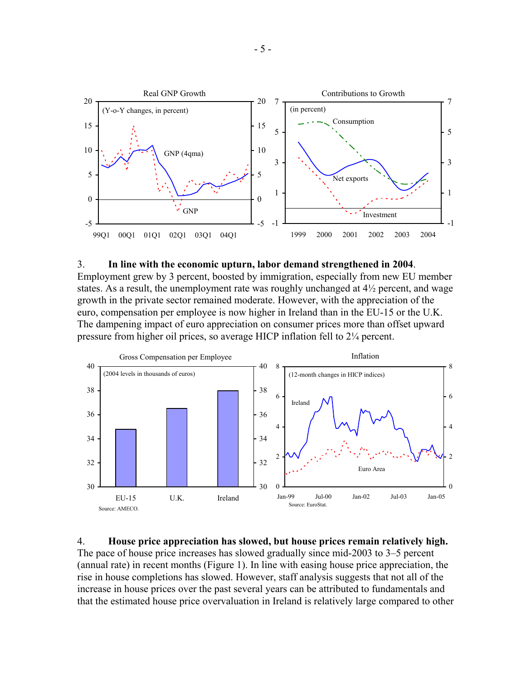

#### 3. **In line with the economic upturn, labor demand strengthened in 2004**.

Employment grew by 3 percent, boosted by immigration, especially from new EU member states. As a result, the unemployment rate was roughly unchanged at  $4\frac{1}{2}$  percent, and wage growth in the private sector remained moderate. However, with the appreciation of the euro, compensation per employee is now higher in Ireland than in the EU-15 or the U.K. The dampening impact of euro appreciation on consumer prices more than offset upward pressure from higher oil prices, so average HICP inflation fell to 2¼ percent.



4. **House price appreciation has slowed, but house prices remain relatively high.** The pace of house price increases has slowed gradually since mid-2003 to 3–5 percent (annual rate) in recent months (Figure 1). In line with easing house price appreciation, the rise in house completions has slowed. However, staff analysis suggests that not all of the increase in house prices over the past several years can be attributed to fundamentals and that the estimated house price overvaluation in Ireland is relatively large compared to other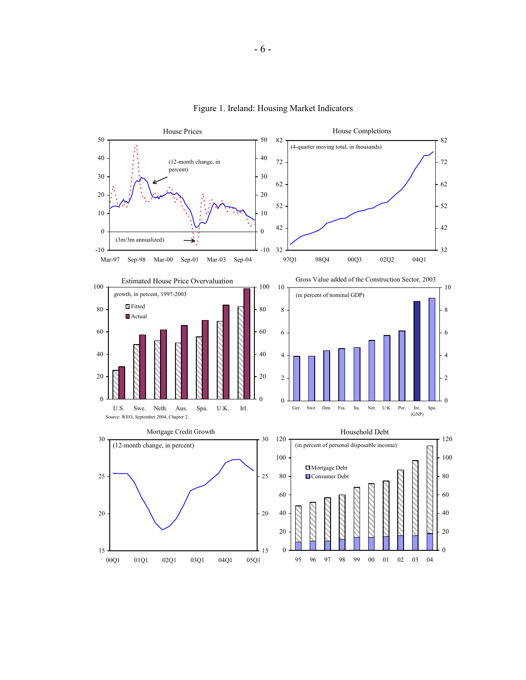

Figure 1. Ireland: Housing Market Indicators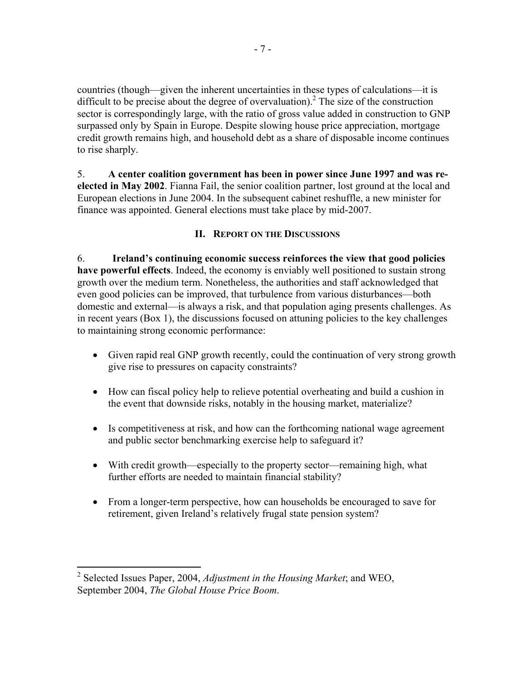countries (though—given the inherent uncertainties in these types of calculations—it is difficult to be precise about the degree of overvaluation).<sup>2</sup> The size of the construction sector is correspondingly large, with the ratio of gross value added in construction to GNP surpassed only by Spain in Europe. Despite slowing house price appreciation, mortgage credit growth remains high, and household debt as a share of disposable income continues to rise sharply.

5. **A center coalition government has been in power since June 1997 and was reelected in May 2002**. Fianna Fail, the senior coalition partner, lost ground at the local and European elections in June 2004. In the subsequent cabinet reshuffle, a new minister for finance was appointed. General elections must take place by mid-2007.

### **II. REPORT ON THE DISCUSSIONS**

6. **Ireland's continuing economic success reinforces the view that good policies have powerful effects**. Indeed, the economy is enviably well positioned to sustain strong growth over the medium term. Nonetheless, the authorities and staff acknowledged that even good policies can be improved, that turbulence from various disturbances—both domestic and external—is always a risk, and that population aging presents challenges. As in recent years (Box 1), the discussions focused on attuning policies to the key challenges to maintaining strong economic performance:

- Given rapid real GNP growth recently, could the continuation of very strong growth give rise to pressures on capacity constraints?
- How can fiscal policy help to relieve potential overheating and build a cushion in the event that downside risks, notably in the housing market, materialize?
- Is competitiveness at risk, and how can the forthcoming national wage agreement and public sector benchmarking exercise help to safeguard it?
- With credit growth—especially to the property sector—remaining high, what further efforts are needed to maintain financial stability?
- From a longer-term perspective, how can households be encouraged to save for retirement, given Ireland's relatively frugal state pension system?

<u>.</u>

<sup>2</sup> Selected Issues Paper, 2004, *Adjustment in the Housing Market*; and WEO, September 2004, *The Global House Price Boom*.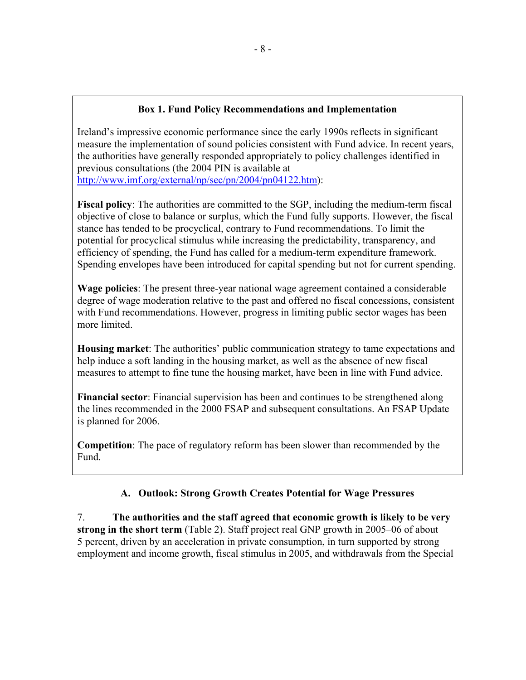### **Box 1. Fund Policy Recommendations and Implementation**

Ireland's impressive economic performance since the early 1990s reflects in significant measure the implementation of sound policies consistent with Fund advice. In recent years, the authorities have generally responded appropriately to policy challenges identified in previous consultations (the 2004 PIN is available at http://www.imf.org/external/np/sec/pn/2004/pn04122.htm):

**Fiscal policy**: The authorities are committed to the SGP, including the medium-term fiscal objective of close to balance or surplus, which the Fund fully supports. However, the fiscal stance has tended to be procyclical, contrary to Fund recommendations. To limit the potential for procyclical stimulus while increasing the predictability, transparency, and efficiency of spending, the Fund has called for a medium-term expenditure framework. Spending envelopes have been introduced for capital spending but not for current spending.

**Wage policies**: The present three-year national wage agreement contained a considerable degree of wage moderation relative to the past and offered no fiscal concessions, consistent with Fund recommendations. However, progress in limiting public sector wages has been more limited.

**Housing market**: The authorities' public communication strategy to tame expectations and help induce a soft landing in the housing market, as well as the absence of new fiscal measures to attempt to fine tune the housing market, have been in line with Fund advice.

**Financial sector**: Financial supervision has been and continues to be strengthened along the lines recommended in the 2000 FSAP and subsequent consultations. An FSAP Update is planned for 2006.

**Competition**: The pace of regulatory reform has been slower than recommended by the Fund.

## **A. Outlook: Strong Growth Creates Potential for Wage Pressures**

7. **The authorities and the staff agreed that economic growth is likely to be very strong in the short term** (Table 2). Staff project real GNP growth in 2005–06 of about 5 percent, driven by an acceleration in private consumption, in turn supported by strong employment and income growth, fiscal stimulus in 2005, and withdrawals from the Special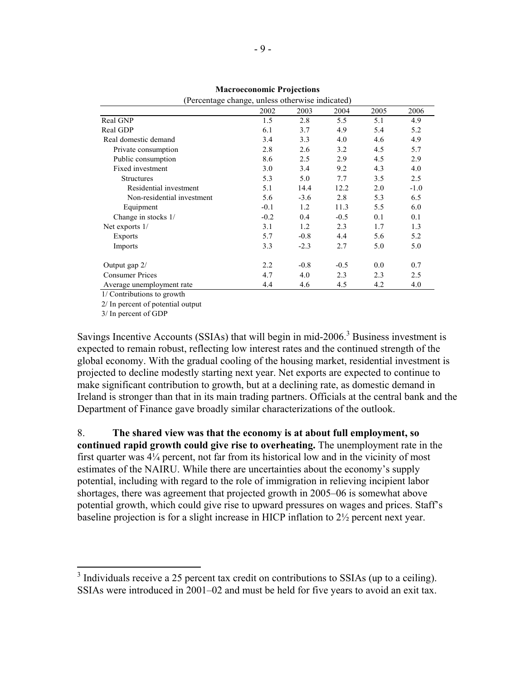| (Percentage change, uniess otherwise indicated) |        |        |        |      |        |  |  |  |
|-------------------------------------------------|--------|--------|--------|------|--------|--|--|--|
|                                                 | 2002   | 2003   | 2004   | 2005 | 2006   |  |  |  |
| Real GNP                                        | 1.5    | 2.8    | 5.5    | 5.1  | 4.9    |  |  |  |
| Real GDP                                        | 6.1    | 3.7    | 4.9    | 5.4  | 5.2    |  |  |  |
| Real domestic demand                            | 3.4    | 3.3    | 4.0    | 4.6  | 4.9    |  |  |  |
| Private consumption                             | 2.8    | 2.6    | 3.2    | 4.5  | 5.7    |  |  |  |
| Public consumption                              | 8.6    | 2.5    | 2.9    | 4.5  | 2.9    |  |  |  |
| Fixed investment                                | 3.0    | 3.4    | 9.2    | 4.3  | 4.0    |  |  |  |
| <b>Structures</b>                               | 5.3    | 5.0    | 7.7    | 3.5  | 2.5    |  |  |  |
| Residential investment                          | 5.1    | 14.4   | 12.2   | 2.0  | $-1.0$ |  |  |  |
| Non-residential investment                      | 5.6    | $-3.6$ | 2.8    | 5.3  | 6.5    |  |  |  |
| Equipment                                       | $-0.1$ | 1.2    | 11.3   | 5.5  | 6.0    |  |  |  |
| Change in stocks 1/                             | $-0.2$ | 0.4    | $-0.5$ | 0.1  | 0.1    |  |  |  |
| Net exports $1/$                                | 3.1    | 1.2    | 2.3    | 1.7  | 1.3    |  |  |  |
| Exports                                         | 5.7    | $-0.8$ | 4.4    | 5.6  | 5.2    |  |  |  |
| Imports                                         | 3.3    | $-2.3$ | 2.7    | 5.0  | 5.0    |  |  |  |
| Output gap 2/                                   | 2.2    | $-0.8$ | $-0.5$ | 0.0  | 0.7    |  |  |  |
| <b>Consumer Prices</b>                          | 4.7    | 4.0    | 2.3    | 2.3  | 2.5    |  |  |  |
| Average unemployment rate                       | 4.4    | 4.6    | 4.5    | 4.2  | 4.0    |  |  |  |

|                                                       | <b>Macroeconomic Projections</b> |  |  |  |
|-------------------------------------------------------|----------------------------------|--|--|--|
| $\sqrt{1}$ 1 1 $\sqrt{1}$ 1 $\sqrt{1}$ 1 1 $\sqrt{1}$ |                                  |  |  |  |

1/ Contributions to growth

2/ In percent of potential output

3/ In percent of GDP

<u>.</u>

Savings Incentive Accounts (SSIAs) that will begin in mid-2006.<sup>3</sup> Business investment is expected to remain robust, reflecting low interest rates and the continued strength of the global economy. With the gradual cooling of the housing market, residential investment is projected to decline modestly starting next year. Net exports are expected to continue to make significant contribution to growth, but at a declining rate, as domestic demand in Ireland is stronger than that in its main trading partners. Officials at the central bank and the Department of Finance gave broadly similar characterizations of the outlook.

8. **The shared view was that the economy is at about full employment, so continued rapid growth could give rise to overheating.** The unemployment rate in the first quarter was 4¼ percent, not far from its historical low and in the vicinity of most estimates of the NAIRU. While there are uncertainties about the economy's supply potential, including with regard to the role of immigration in relieving incipient labor shortages, there was agreement that projected growth in 2005–06 is somewhat above potential growth, which could give rise to upward pressures on wages and prices. Staff's baseline projection is for a slight increase in HICP inflation to 2½ percent next year.

 $3$  Individuals receive a 25 percent tax credit on contributions to SSIAs (up to a ceiling). SSIAs were introduced in 2001–02 and must be held for five years to avoid an exit tax.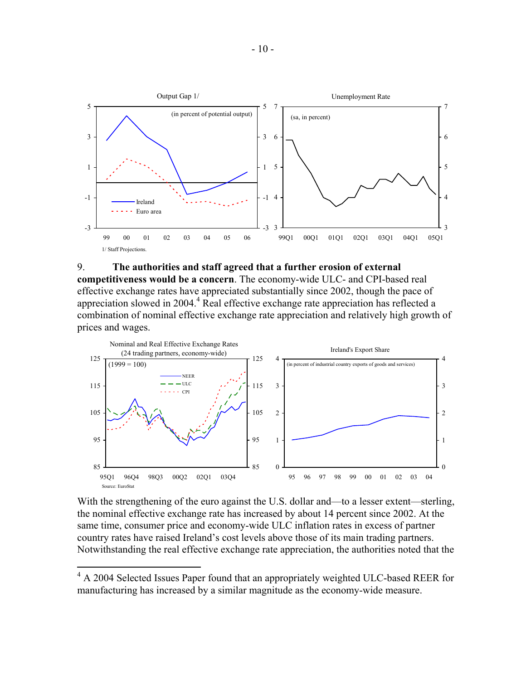

#### 9. **The authorities and staff agreed that a further erosion of external**

**competitiveness would be a concern**. The economy-wide ULC- and CPI-based real effective exchange rates have appreciated substantially since 2002, though the pace of appreciation slowed in  $2004.4$  Real effective exchange rate appreciation has reflected a combination of nominal effective exchange rate appreciation and relatively high growth of prices and wages.



With the strengthening of the euro against the U.S. dollar and—to a lesser extent—sterling, the nominal effective exchange rate has increased by about 14 percent since 2002. At the same time, consumer price and economy-wide ULC inflation rates in excess of partner country rates have raised Ireland's cost levels above those of its main trading partners. Notwithstanding the real effective exchange rate appreciation, the authorities noted that the

<sup>&</sup>lt;sup>4</sup> A 2004 Selected Issues Paper found that an appropriately weighted ULC-based REER for manufacturing has increased by a similar magnitude as the economy-wide measure.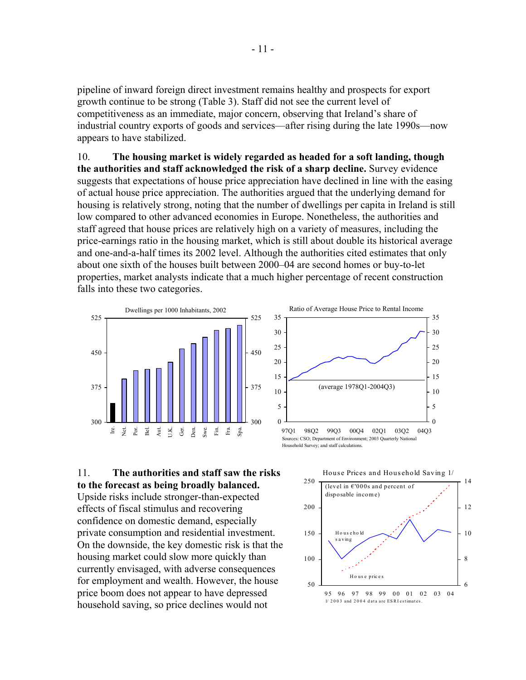pipeline of inward foreign direct investment remains healthy and prospects for export growth continue to be strong (Table 3). Staff did not see the current level of competitiveness as an immediate, major concern, observing that Ireland's share of industrial country exports of goods and services—after rising during the late 1990s—now appears to have stabilized.

10. **The housing market is widely regarded as headed for a soft landing, though the authorities and staff acknowledged the risk of a sharp decline.** Survey evidence suggests that expectations of house price appreciation have declined in line with the easing of actual house price appreciation. The authorities argued that the underlying demand for housing is relatively strong, noting that the number of dwellings per capita in Ireland is still low compared to other advanced economies in Europe. Nonetheless, the authorities and staff agreed that house prices are relatively high on a variety of measures, including the price-earnings ratio in the housing market, which is still about double its historical average and one-and-a-half times its 2002 level. Although the authorities cited estimates that only about one sixth of the houses built between 2000–04 are second homes or buy-to-let properties, market analysts indicate that a much higher percentage of recent construction falls into these two categories.





11. **The authorities and staff saw the risks to the forecast as being broadly balanced.**  Upside risks include stronger-than-expected effects of fiscal stimulus and recovering confidence on domestic demand, especially private consumption and residential investment. On the downside, the key domestic risk is that the housing market could slow more quickly than currently envisaged, with adverse consequences for employment and wealth. However, the house price boom does not appear to have depressed household saving, so price declines would not

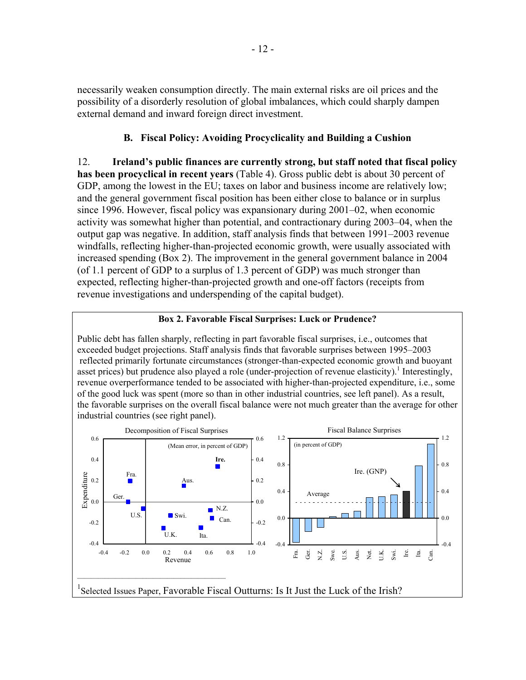necessarily weaken consumption directly. The main external risks are oil prices and the possibility of a disorderly resolution of global imbalances, which could sharply dampen external demand and inward foreign direct investment.

### **B. Fiscal Policy: Avoiding Procyclicality and Building a Cushion**

12. **Ireland's public finances are currently strong, but staff noted that fiscal policy has been procyclical in recent years** (Table 4). Gross public debt is about 30 percent of GDP, among the lowest in the EU; taxes on labor and business income are relatively low; and the general government fiscal position has been either close to balance or in surplus since 1996. However, fiscal policy was expansionary during 2001–02, when economic activity was somewhat higher than potential, and contractionary during 2003–04, when the output gap was negative. In addition, staff analysis finds that between 1991–2003 revenue windfalls, reflecting higher-than-projected economic growth, were usually associated with increased spending (Box 2). The improvement in the general government balance in 2004 (of 1.1 percent of GDP to a surplus of 1.3 percent of GDP) was much stronger than expected, reflecting higher-than-projected growth and one-off factors (receipts from revenue investigations and underspending of the capital budget).

### **Box 2. Favorable Fiscal Surprises: Luck or Prudence?**

Public debt has fallen sharply, reflecting in part favorable fiscal surprises, i.e., outcomes that exceeded budget projections. Staff analysis finds that favorable surprises between 1995–2003 reflected primarily fortunate circumstances (stronger-than-expected economic growth and buoyant asset prices) but prudence also played a role (under-projection of revenue elasticity).<sup>1</sup> Interestingly, revenue overperformance tended to be associated with higher-than-projected expenditure, i.e., some of the good luck was spent (more so than in other industrial countries, see left panel). As a result, the favorable surprises on the overall fiscal balance were not much greater than the average for other industrial countries (see right panel).

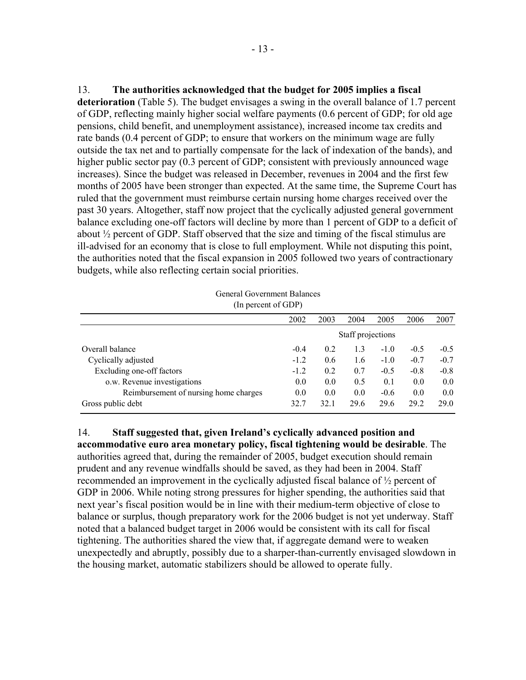13. **The authorities acknowledged that the budget for 2005 implies a fiscal deterioration** (Table 5). The budget envisages a swing in the overall balance of 1.7 percent of GDP, reflecting mainly higher social welfare payments (0.6 percent of GDP; for old age pensions, child benefit, and unemployment assistance), increased income tax credits and rate bands (0.4 percent of GDP; to ensure that workers on the minimum wage are fully outside the tax net and to partially compensate for the lack of indexation of the bands), and higher public sector pay (0.3 percent of GDP; consistent with previously announced wage increases). Since the budget was released in December, revenues in 2004 and the first few months of 2005 have been stronger than expected. At the same time, the Supreme Court has ruled that the government must reimburse certain nursing home charges received over the past 30 years. Altogether, staff now project that the cyclically adjusted general government balance excluding one-off factors will decline by more than 1 percent of GDP to a deficit of about ½ percent of GDP. Staff observed that the size and timing of the fiscal stimulus are ill-advised for an economy that is close to full employment. While not disputing this point, the authorities noted that the fiscal expansion in 2005 followed two years of contractionary budgets, while also reflecting certain social priorities.

General Government Balances (In percent of GDP)

|                                       | 2002              | 2003 | 2004 | 2005   | 2006   | 2007   |  |  |  |  |
|---------------------------------------|-------------------|------|------|--------|--------|--------|--|--|--|--|
|                                       | Staff projections |      |      |        |        |        |  |  |  |  |
| Overall balance                       | $-0.4$            | 0.2  | 1.3  | $-1.0$ | $-0.5$ | $-0.5$ |  |  |  |  |
| Cyclically adjusted                   | $-1.2$            | 0.6  | 1.6  | $-1.0$ | $-0.7$ | $-0.7$ |  |  |  |  |
| Excluding one-off factors             | $-1.2$            | 0.2  | 0.7  | $-0.5$ | $-0.8$ | $-0.8$ |  |  |  |  |
| o.w. Revenue investigations           | 0.0               | 0.0  | 0.5  | 0.1    | 0.0    | 0.0    |  |  |  |  |
| Reimbursement of nursing home charges | 0.0               | 0.0  | 0.0  | $-0.6$ | 0.0    | 0.0    |  |  |  |  |
| Gross public debt                     | 32.7              | 32.1 | 29.6 | 29.6   | 29 2   | 29 Q   |  |  |  |  |

14. **Staff suggested that, given Ireland's cyclically advanced position and accommodative euro area monetary policy, fiscal tightening would be desirable**. The authorities agreed that, during the remainder of 2005, budget execution should remain prudent and any revenue windfalls should be saved, as they had been in 2004. Staff recommended an improvement in the cyclically adjusted fiscal balance of ½ percent of GDP in 2006. While noting strong pressures for higher spending, the authorities said that next year's fiscal position would be in line with their medium-term objective of close to balance or surplus, though preparatory work for the 2006 budget is not yet underway. Staff noted that a balanced budget target in 2006 would be consistent with its call for fiscal tightening. The authorities shared the view that, if aggregate demand were to weaken unexpectedly and abruptly, possibly due to a sharper-than-currently envisaged slowdown in the housing market, automatic stabilizers should be allowed to operate fully.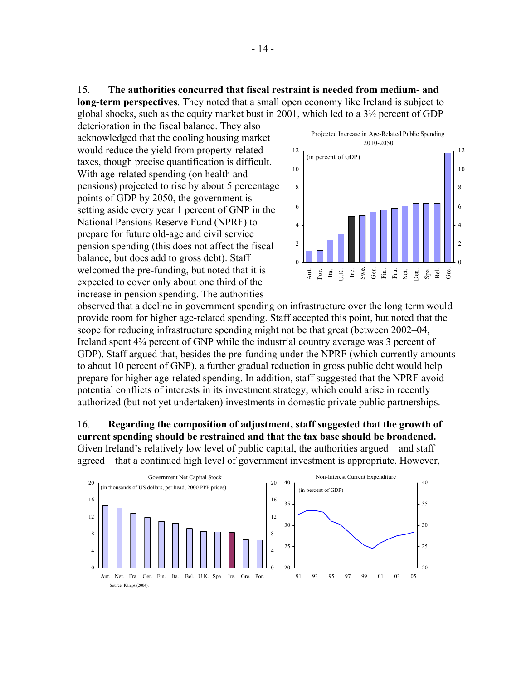15. **The authorities concurred that fiscal restraint is needed from medium- and long-term perspectives**. They noted that a small open economy like Ireland is subject to global shocks, such as the equity market bust in 2001, which led to a 3½ percent of GDP

deterioration in the fiscal balance. They also acknowledged that the cooling housing market would reduce the yield from property-related taxes, though precise quantification is difficult. With age-related spending (on health and pensions) projected to rise by about 5 percentage points of GDP by 2050, the government is setting aside every year 1 percent of GNP in the National Pensions Reserve Fund (NPRF) to prepare for future old-age and civil service pension spending (this does not affect the fiscal balance, but does add to gross debt). Staff welcomed the pre-funding, but noted that it is expected to cover only about one third of the increase in pension spending. The authorities



observed that a decline in government spending on infrastructure over the long term would provide room for higher age-related spending. Staff accepted this point, but noted that the scope for reducing infrastructure spending might not be that great (between 2002–04, Ireland spent 4¾ percent of GNP while the industrial country average was 3 percent of GDP). Staff argued that, besides the pre-funding under the NPRF (which currently amounts to about 10 percent of GNP), a further gradual reduction in gross public debt would help prepare for higher age-related spending. In addition, staff suggested that the NPRF avoid potential conflicts of interests in its investment strategy, which could arise in recently authorized (but not yet undertaken) investments in domestic private public partnerships.

16. **Regarding the composition of adjustment, staff suggested that the growth of current spending should be restrained and that the tax base should be broadened.** Given Ireland's relatively low level of public capital, the authorities argued—and staff agreed—that a continued high level of government investment is appropriate. However,

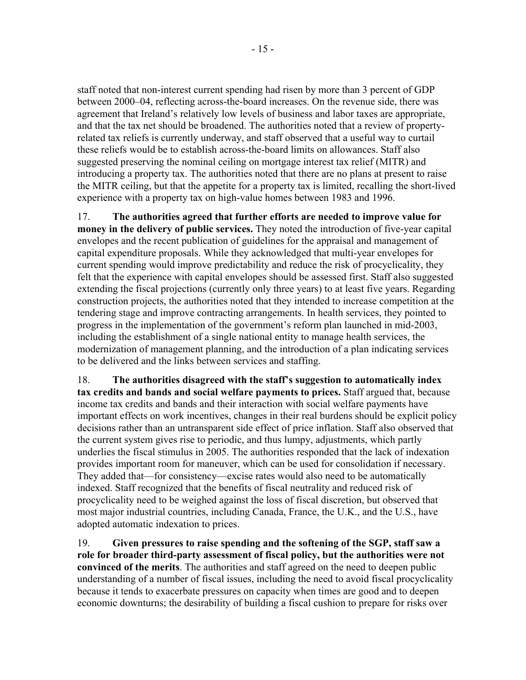staff noted that non-interest current spending had risen by more than 3 percent of GDP between 2000–04, reflecting across-the-board increases. On the revenue side, there was agreement that Ireland's relatively low levels of business and labor taxes are appropriate, and that the tax net should be broadened. The authorities noted that a review of propertyrelated tax reliefs is currently underway, and staff observed that a useful way to curtail these reliefs would be to establish across-the-board limits on allowances. Staff also suggested preserving the nominal ceiling on mortgage interest tax relief (MITR) and introducing a property tax. The authorities noted that there are no plans at present to raise the MITR ceiling, but that the appetite for a property tax is limited, recalling the short-lived experience with a property tax on high-value homes between 1983 and 1996.

17. **The authorities agreed that further efforts are needed to improve value for money in the delivery of public services.** They noted the introduction of five-year capital envelopes and the recent publication of guidelines for the appraisal and management of capital expenditure proposals. While they acknowledged that multi-year envelopes for current spending would improve predictability and reduce the risk of procyclicality, they felt that the experience with capital envelopes should be assessed first. Staff also suggested extending the fiscal projections (currently only three years) to at least five years. Regarding construction projects, the authorities noted that they intended to increase competition at the tendering stage and improve contracting arrangements. In health services, they pointed to progress in the implementation of the government's reform plan launched in mid-2003, including the establishment of a single national entity to manage health services, the modernization of management planning, and the introduction of a plan indicating services to be delivered and the links between services and staffing.

18. **The authorities disagreed with the staff's suggestion to automatically index tax credits and bands and social welfare payments to prices.** Staff argued that, because income tax credits and bands and their interaction with social welfare payments have important effects on work incentives, changes in their real burdens should be explicit policy decisions rather than an untransparent side effect of price inflation. Staff also observed that the current system gives rise to periodic, and thus lumpy, adjustments, which partly underlies the fiscal stimulus in 2005. The authorities responded that the lack of indexation provides important room for maneuver, which can be used for consolidation if necessary. They added that—for consistency—excise rates would also need to be automatically indexed. Staff recognized that the benefits of fiscal neutrality and reduced risk of procyclicality need to be weighed against the loss of fiscal discretion, but observed that most major industrial countries, including Canada, France, the U.K., and the U.S., have adopted automatic indexation to prices.

19. **Given pressures to raise spending and the softening of the SGP, staff saw a role for broader third-party assessment of fiscal policy, but the authorities were not convinced of the merits**. The authorities and staff agreed on the need to deepen public understanding of a number of fiscal issues, including the need to avoid fiscal procyclicality because it tends to exacerbate pressures on capacity when times are good and to deepen economic downturns; the desirability of building a fiscal cushion to prepare for risks over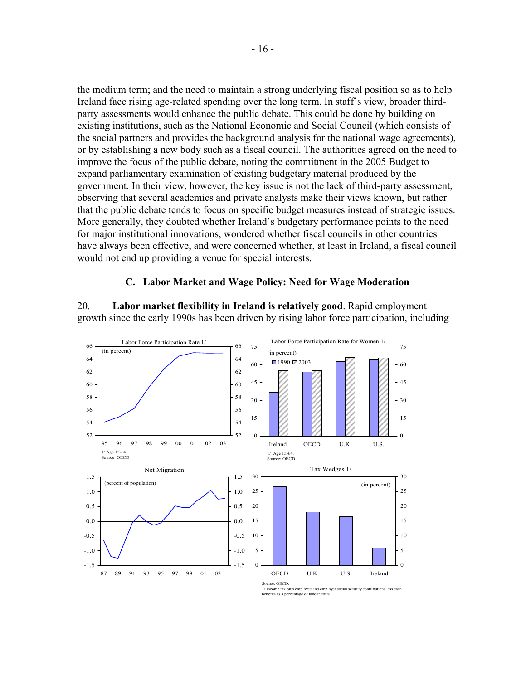the medium term; and the need to maintain a strong underlying fiscal position so as to help Ireland face rising age-related spending over the long term. In staff's view, broader thirdparty assessments would enhance the public debate. This could be done by building on existing institutions, such as the National Economic and Social Council (which consists of the social partners and provides the background analysis for the national wage agreements), or by establishing a new body such as a fiscal council. The authorities agreed on the need to improve the focus of the public debate, noting the commitment in the 2005 Budget to expand parliamentary examination of existing budgetary material produced by the government. In their view, however, the key issue is not the lack of third-party assessment, observing that several academics and private analysts make their views known, but rather that the public debate tends to focus on specific budget measures instead of strategic issues. More generally, they doubted whether Ireland's budgetary performance points to the need for major institutional innovations, wondered whether fiscal councils in other countries have always been effective, and were concerned whether, at least in Ireland, a fiscal council would not end up providing a venue for special interests.

#### **C. Labor Market and Wage Policy: Need for Wage Moderation**

20. **Labor market flexibility in Ireland is relatively good**. Rapid employment growth since the early 1990s has been driven by rising labor force participation, including



Source: OECD.<br>1/ Income tax plus employ ee and employer social security contributions less cash benefits as a percentage of labour costs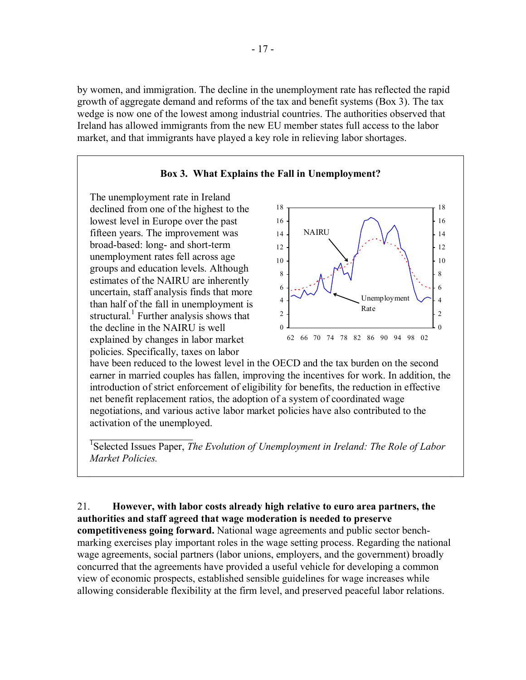by women, and immigration. The decline in the unemployment rate has reflected the rapid growth of aggregate demand and reforms of the tax and benefit systems (Box 3). The tax wedge is now one of the lowest among industrial countries. The authorities observed that Ireland has allowed immigrants from the new EU member states full access to the labor market, and that immigrants have played a key role in relieving labor shortages.



have been reduced to the lowest level in the OECD and the tax burden on the second earner in married couples has fallen, improving the incentives for work. In addition, the introduction of strict enforcement of eligibility for benefits, the reduction in effective net benefit replacement ratios, the adoption of a system of coordinated wage negotiations, and various active labor market policies have also contributed to the activation of the unemployed.

<sup>1</sup>Selected Issues Paper, *The Evolution of Unemployment in Ireland: The Role of Labor Market Policies.* 

 $\mathcal{L}_\text{max}$  , where  $\mathcal{L}_\text{max}$  and  $\mathcal{L}_\text{max}$ 

21. **However, with labor costs already high relative to euro area partners, the authorities and staff agreed that wage moderation is needed to preserve competitiveness going forward.** National wage agreements and public sector benchmarking exercises play important roles in the wage setting process. Regarding the national wage agreements, social partners (labor unions, employers, and the government) broadly concurred that the agreements have provided a useful vehicle for developing a common view of economic prospects, established sensible guidelines for wage increases while allowing considerable flexibility at the firm level, and preserved peaceful labor relations.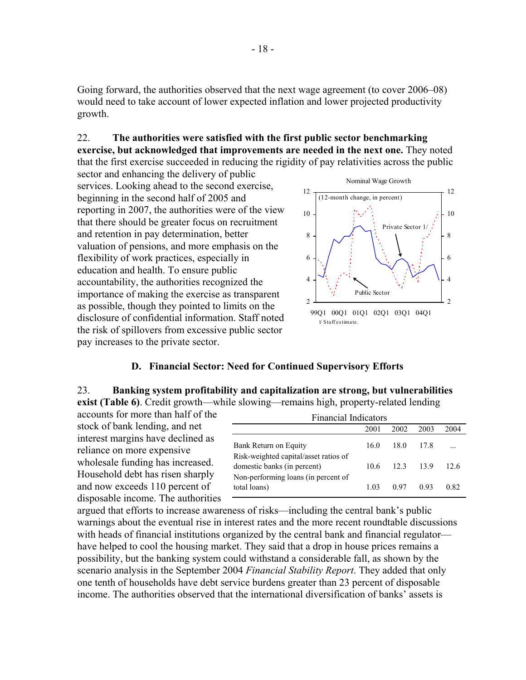Going forward, the authorities observed that the next wage agreement (to cover 2006–08) would need to take account of lower expected inflation and lower projected productivity growth.

### 22. **The authorities were satisfied with the first public sector benchmarking**

**exercise, but acknowledged that improvements are needed in the next one.** They noted that the first exercise succeeded in reducing the rigidity of pay relativities across the public

sector and enhancing the delivery of public services. Looking ahead to the second exercise, beginning in the second half of 2005 and reporting in 2007, the authorities were of the view that there should be greater focus on recruitment and retention in pay determination, better valuation of pensions, and more emphasis on the flexibility of work practices, especially in education and health. To ensure public accountability, the authorities recognized the importance of making the exercise as transparent as possible, though they pointed to limits on the disclosure of confidential information. Staff noted the risk of spillovers from excessive public sector pay increases to the private sector.



### **D. Financial Sector: Need for Continued Supervisory Efforts**

# 23. **Banking system profitability and capitalization are strong, but vulnerabilities**

**exist (Table 6)**. Credit growth—while slowing—remains high, property-related lending accounts for more than half of the

stock of bank lending, and net interest margins have declined as reliance on more expensive wholesale funding has increased. Household debt has risen sharply and now exceeds 110 percent of disposable income. The authorities

| <b>Financial Indicators</b>                                          |      |      |       |      |  |  |  |  |
|----------------------------------------------------------------------|------|------|-------|------|--|--|--|--|
|                                                                      | 2001 | 2002 | 2003  | 2004 |  |  |  |  |
| Bank Return on Equity                                                | 160  | 180  | 17.8  | .    |  |  |  |  |
| Risk-weighted capital/asset ratios of<br>domestic banks (in percent) | 10.6 | 12.3 | - 139 | 12.6 |  |  |  |  |
| Non-performing loans (in percent of<br>total loans)                  | 1 03 | 0.97 | 0.93  | 0.82 |  |  |  |  |

argued that efforts to increase awareness of risks—including the central bank's public warnings about the eventual rise in interest rates and the more recent roundtable discussions with heads of financial institutions organized by the central bank and financial regulator have helped to cool the housing market. They said that a drop in house prices remains a possibility, but the banking system could withstand a considerable fall, as shown by the scenario analysis in the September 2004 *Financial Stability Report*. They added that only one tenth of households have debt service burdens greater than 23 percent of disposable income. The authorities observed that the international diversification of banks' assets is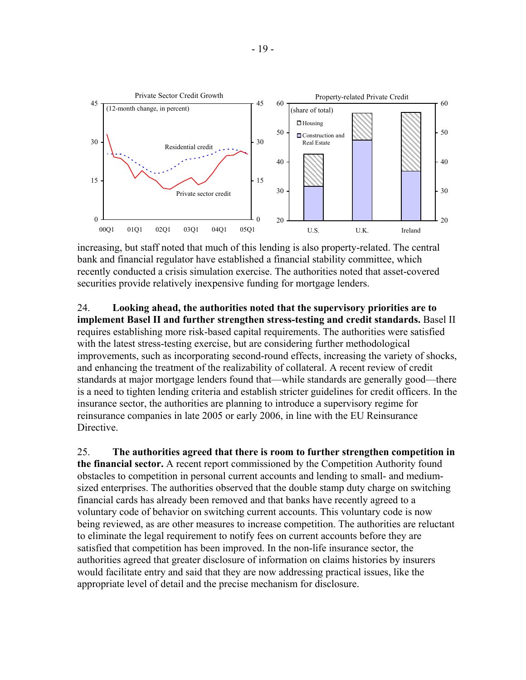

increasing, but staff noted that much of this lending is also property-related. The central bank and financial regulator have established a financial stability committee, which recently conducted a crisis simulation exercise. The authorities noted that asset-covered securities provide relatively inexpensive funding for mortgage lenders.

24. **Looking ahead, the authorities noted that the supervisory priorities are to implement Basel II and further strengthen stress-testing and credit standards.** Basel II requires establishing more risk-based capital requirements. The authorities were satisfied with the latest stress-testing exercise, but are considering further methodological improvements, such as incorporating second-round effects, increasing the variety of shocks, and enhancing the treatment of the realizability of collateral. A recent review of credit standards at major mortgage lenders found that—while standards are generally good—there is a need to tighten lending criteria and establish stricter guidelines for credit officers. In the insurance sector, the authorities are planning to introduce a supervisory regime for reinsurance companies in late 2005 or early 2006, in line with the EU Reinsurance Directive.

25. **The authorities agreed that there is room to further strengthen competition in the financial sector.** A recent report commissioned by the Competition Authority found obstacles to competition in personal current accounts and lending to small- and mediumsized enterprises. The authorities observed that the double stamp duty charge on switching financial cards has already been removed and that banks have recently agreed to a voluntary code of behavior on switching current accounts. This voluntary code is now being reviewed, as are other measures to increase competition. The authorities are reluctant to eliminate the legal requirement to notify fees on current accounts before they are satisfied that competition has been improved. In the non-life insurance sector, the authorities agreed that greater disclosure of information on claims histories by insurers would facilitate entry and said that they are now addressing practical issues, like the appropriate level of detail and the precise mechanism for disclosure.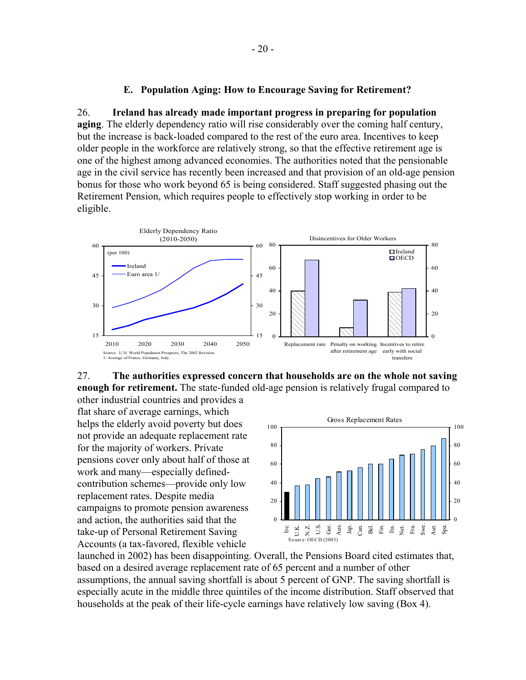#### **E. Population Aging: How to Encourage Saving for Retirement?**

26. **Ireland has already made important progress in preparing for population aging**. The elderly dependency ratio will rise considerably over the coming half century, but the increase is back-loaded compared to the rest of the euro area. Incentives to keep older people in the workforce are relatively strong, so that the effective retirement age is one of the highest among advanced economies. The authorities noted that the pensionable age in the civil service has recently been increased and that provision of an old-age pension bonus for those who work beyond 65 is being considered. Staff suggested phasing out the Retirement Pension, which requires people to effectively stop working in order to be eligible.





other industrial countries and provides a flat share of average earnings, which helps the elderly avoid poverty but does not provide an adequate replacement rate for the majority of workers. Private pensions cover only about half of those at work and many—especially definedcontribution schemes—provide only low replacement rates. Despite media campaigns to promote pension awareness and action, the authorities said that the take-up of Personal Retirement Saving Accounts (a tax-favored, flexible vehicle



launched in 2002) has been disappointing. Overall, the Pensions Board cited estimates that, based on a desired average replacement rate of 65 percent and a number of other assumptions, the annual saving shortfall is about 5 percent of GNP. The saving shortfall is especially acute in the middle three quintiles of the income distribution. Staff observed that households at the peak of their life-cycle earnings have relatively low saving (Box 4).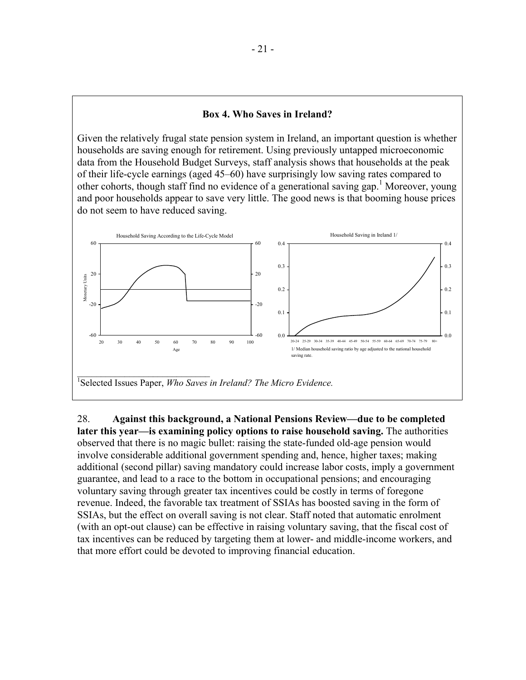#### **Box 4. Who Saves in Ireland?**

Given the relatively frugal state pension system in Ireland, an important question is whether households are saving enough for retirement. Using previously untapped microeconomic data from the Household Budget Surveys, staff analysis shows that households at the peak of their life-cycle earnings (aged 45–60) have surprisingly low saving rates compared to other cohorts, though staff find no evidence of a generational saving gap.<sup>1</sup> Moreover, young and poor households appear to save very little. The good news is that booming house prices do not seem to have reduced saving.



28. **Against this background, a National Pensions Review—due to be completed later this year—is examining policy options to raise household saving.** The authorities observed that there is no magic bullet: raising the state-funded old-age pension would involve considerable additional government spending and, hence, higher taxes; making additional (second pillar) saving mandatory could increase labor costs, imply a government guarantee, and lead to a race to the bottom in occupational pensions; and encouraging voluntary saving through greater tax incentives could be costly in terms of foregone revenue. Indeed, the favorable tax treatment of SSIAs has boosted saving in the form of SSIAs, but the effect on overall saving is not clear. Staff noted that automatic enrolment (with an opt-out clause) can be effective in raising voluntary saving, that the fiscal cost of tax incentives can be reduced by targeting them at lower- and middle-income workers, and that more effort could be devoted to improving financial education.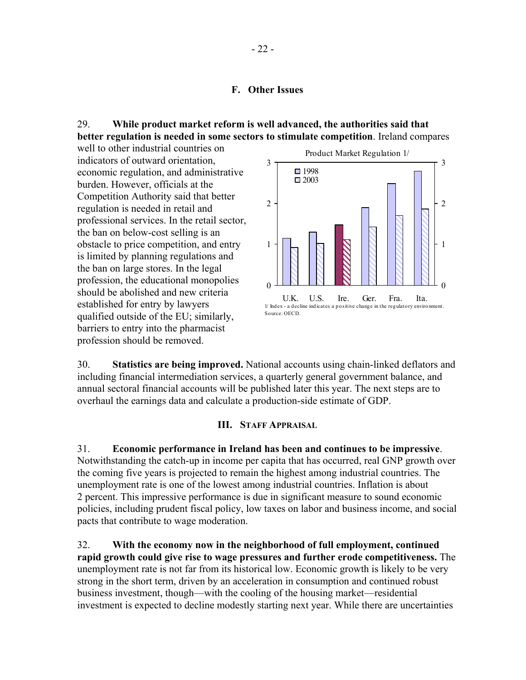### **F. Other Issues**

### 29. **While product market reform is well advanced, the authorities said that better regulation is needed in some sectors to stimulate competition**. Ireland compares

well to other industrial countries on indicators of outward orientation, economic regulation, and administrative burden. However, officials at the Competition Authority said that better regulation is needed in retail and professional services. In the retail sector, the ban on below-cost selling is an obstacle to price competition, and entry is limited by planning regulations and the ban on large stores. In the legal profession, the educational monopolies should be abolished and new criteria established for entry by lawyers qualified outside of the EU; similarly, barriers to entry into the pharmacist profession should be removed.



30. **Statistics are being improved.** National accounts using chain-linked deflators and including financial intermediation services, a quarterly general government balance, and annual sectoral financial accounts will be published later this year. The next steps are to overhaul the earnings data and calculate a production-side estimate of GDP.

#### **III. STAFF APPRAISAL**

31. **Economic performance in Ireland has been and continues to be impressive**. Notwithstanding the catch-up in income per capita that has occurred, real GNP growth over the coming five years is projected to remain the highest among industrial countries. The unemployment rate is one of the lowest among industrial countries. Inflation is about 2 percent. This impressive performance is due in significant measure to sound economic policies, including prudent fiscal policy, low taxes on labor and business income, and social pacts that contribute to wage moderation.

32. **With the economy now in the neighborhood of full employment, continued rapid growth could give rise to wage pressures and further erode competitiveness.** The unemployment rate is not far from its historical low. Economic growth is likely to be very strong in the short term, driven by an acceleration in consumption and continued robust business investment, though—with the cooling of the housing market—residential investment is expected to decline modestly starting next year. While there are uncertainties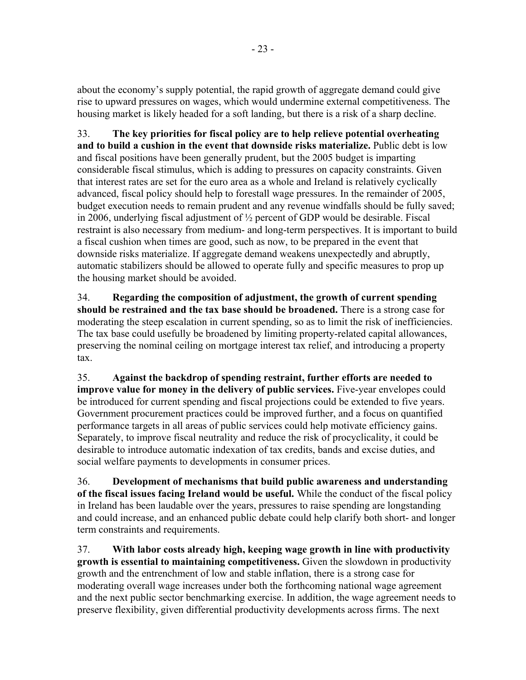about the economy's supply potential, the rapid growth of aggregate demand could give rise to upward pressures on wages, which would undermine external competitiveness. The housing market is likely headed for a soft landing, but there is a risk of a sharp decline.

33. **The key priorities for fiscal policy are to help relieve potential overheating and to build a cushion in the event that downside risks materialize.** Public debt is low and fiscal positions have been generally prudent, but the 2005 budget is imparting considerable fiscal stimulus, which is adding to pressures on capacity constraints. Given that interest rates are set for the euro area as a whole and Ireland is relatively cyclically advanced, fiscal policy should help to forestall wage pressures. In the remainder of 2005, budget execution needs to remain prudent and any revenue windfalls should be fully saved; in 2006, underlying fiscal adjustment of ½ percent of GDP would be desirable. Fiscal restraint is also necessary from medium- and long-term perspectives. It is important to build a fiscal cushion when times are good, such as now, to be prepared in the event that downside risks materialize. If aggregate demand weakens unexpectedly and abruptly, automatic stabilizers should be allowed to operate fully and specific measures to prop up the housing market should be avoided.

34. **Regarding the composition of adjustment, the growth of current spending should be restrained and the tax base should be broadened.** There is a strong case for moderating the steep escalation in current spending, so as to limit the risk of inefficiencies. The tax base could usefully be broadened by limiting property-related capital allowances, preserving the nominal ceiling on mortgage interest tax relief, and introducing a property tax.

35. **Against the backdrop of spending restraint, further efforts are needed to improve value for money in the delivery of public services.** Five-year envelopes could be introduced for current spending and fiscal projections could be extended to five years. Government procurement practices could be improved further, and a focus on quantified performance targets in all areas of public services could help motivate efficiency gains. Separately, to improve fiscal neutrality and reduce the risk of procyclicality, it could be desirable to introduce automatic indexation of tax credits, bands and excise duties, and social welfare payments to developments in consumer prices.

36. **Development of mechanisms that build public awareness and understanding of the fiscal issues facing Ireland would be useful.** While the conduct of the fiscal policy in Ireland has been laudable over the years, pressures to raise spending are longstanding and could increase, and an enhanced public debate could help clarify both short- and longer term constraints and requirements.

37. **With labor costs already high, keeping wage growth in line with productivity growth is essential to maintaining competitiveness.** Given the slowdown in productivity growth and the entrenchment of low and stable inflation, there is a strong case for moderating overall wage increases under both the forthcoming national wage agreement and the next public sector benchmarking exercise. In addition, the wage agreement needs to preserve flexibility, given differential productivity developments across firms. The next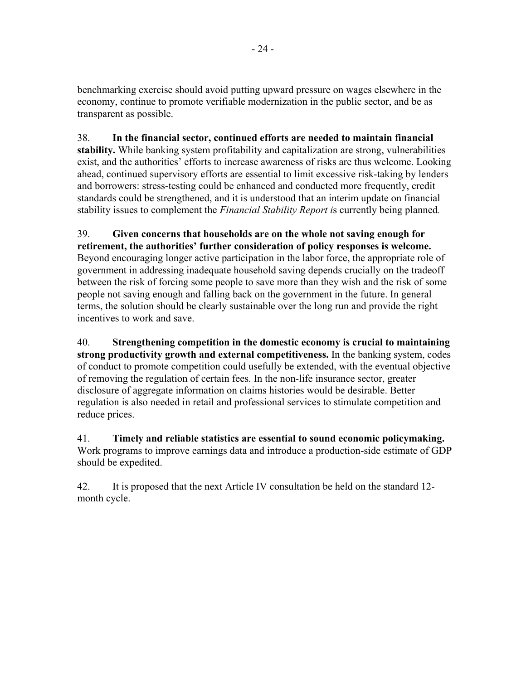benchmarking exercise should avoid putting upward pressure on wages elsewhere in the economy, continue to promote verifiable modernization in the public sector, and be as transparent as possible.

38. **In the financial sector, continued efforts are needed to maintain financial stability.** While banking system profitability and capitalization are strong, vulnerabilities exist, and the authorities' efforts to increase awareness of risks are thus welcome. Looking ahead, continued supervisory efforts are essential to limit excessive risk-taking by lenders and borrowers: stress-testing could be enhanced and conducted more frequently, credit standards could be strengthened, and it is understood that an interim update on financial stability issues to complement the *Financial Stability Report i*s currently being planned.

39. **Given concerns that households are on the whole not saving enough for retirement, the authorities' further consideration of policy responses is welcome.** Beyond encouraging longer active participation in the labor force, the appropriate role of government in addressing inadequate household saving depends crucially on the tradeoff between the risk of forcing some people to save more than they wish and the risk of some people not saving enough and falling back on the government in the future. In general terms, the solution should be clearly sustainable over the long run and provide the right incentives to work and save.

40. **Strengthening competition in the domestic economy is crucial to maintaining strong productivity growth and external competitiveness.** In the banking system, codes of conduct to promote competition could usefully be extended, with the eventual objective of removing the regulation of certain fees. In the non-life insurance sector, greater disclosure of aggregate information on claims histories would be desirable. Better regulation is also needed in retail and professional services to stimulate competition and reduce prices.

41. **Timely and reliable statistics are essential to sound economic policymaking.** Work programs to improve earnings data and introduce a production-side estimate of GDP should be expedited.

42. It is proposed that the next Article IV consultation be held on the standard 12 month cycle.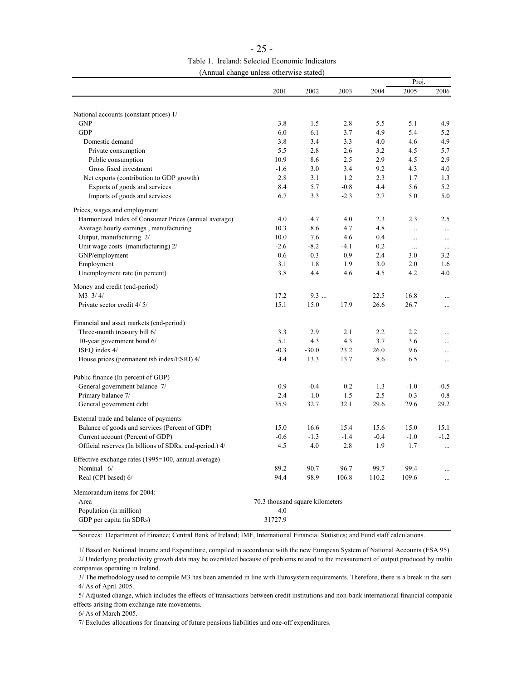| $-7.1 -$ |                                                |
|----------|------------------------------------------------|
|          | Table 1. Ireland: Selected Economic Indicators |
|          | (Annual change unless otherwise stated)        |

|                                                         |                                 |         |        | Proj.  |          |          |  |
|---------------------------------------------------------|---------------------------------|---------|--------|--------|----------|----------|--|
|                                                         | 2001                            | 2002    | 2003   | 2004   | 2005     | 2006     |  |
|                                                         |                                 |         |        |        |          |          |  |
| National accounts (constant prices) 1/                  |                                 |         |        |        |          |          |  |
| <b>GNP</b>                                              | 3.8                             | 1.5     | 2.8    | 5.5    | 5.1      | 4.9      |  |
| <b>GDP</b>                                              | 6.0                             | 6.1     | 3.7    | 4.9    | 5.4      | 5.2      |  |
| Domestic demand                                         | 3.8                             | 3.4     | 3.3    | 4.0    | 4.6      | 4.9      |  |
| Private consumption                                     | 5.5                             | 2.8     | 2.6    | 3.2    | 4.5      | 5.7      |  |
| Public consumption                                      | 10.9                            | 8.6     | 2.5    | 2.9    | 4.5      | 2.9      |  |
| Gross fixed investment                                  | $-1.6$                          | 3.0     | 3.4    | 9.2    | 4.3      | 4.0      |  |
| Net exports (contribution to GDP growth)                | 2.8                             | 3.1     | 1.2    | 2.3    | 1.7      | 1.3      |  |
| Exports of goods and services                           | 8.4                             | 5.7     | $-0.8$ | 4.4    | 5.6      | 5.2      |  |
| Imports of goods and services                           | 6.7                             | 3.3     | $-2.3$ | 2.7    | 5.0      | 5.0      |  |
|                                                         |                                 |         |        |        |          |          |  |
| Prices, wages and employment                            |                                 |         |        |        |          |          |  |
| Harmonized Index of Consumer Prices (annual average)    | 4.0                             | 4.7     | 4.0    | 2.3    | 2.3      | 2.5      |  |
| Average hourly earnings, manufacturing                  | 10.3                            | 8.6     | 4.7    | 4.8    | $\cdots$ | $\cdots$ |  |
| Output, manufacturing 2/                                | 10.0                            | 7.6     | 4.6    | 0.4    | $\cdots$ | $\cdots$ |  |
| Unit wage costs (manufacturing) 2/                      | $-2.6$                          | $-8.2$  | $-4.1$ | 0.2    | $\ldots$ | $\ldots$ |  |
| GNP/employment                                          | 0.6                             | $-0.3$  | 0.9    | 2.4    | 3.0      | 3.2      |  |
| Employment                                              | 3.1                             | 1.8     | 1.9    | 3.0    | 2.0      | 1.6      |  |
| Unemployment rate (in percent)                          | 3.8                             | 4.4     | 4.6    | 4.5    | 4.2      | 4.0      |  |
| Money and credit (end-period)                           |                                 |         |        |        |          |          |  |
| M3 3/4/                                                 | 17.2                            | 9.3     |        | 22.5   | 16.8     |          |  |
|                                                         |                                 |         |        |        |          | $\cdots$ |  |
| Private sector credit 4/5/                              | 15.1                            | 15.0    | 17.9   | 26.6   | 26.7     | $\cdots$ |  |
| Financial and asset markets (end-period)                |                                 |         |        |        |          |          |  |
| Three-month treasury bill 6/                            | 3.3                             | 2.9     | 2.1    | 2.2    | 2.2      |          |  |
| 10-year government bond 6/                              | 5.1                             | 4.3     | 4.3    | 3.7    | 3.6      | .        |  |
| ISEQ index 4/                                           | $-0.3$                          | $-30.0$ | 23.2   | 26.0   | 9.6      | $\cdots$ |  |
|                                                         |                                 |         |        |        |          | $\cdots$ |  |
| House prices (permanent tsb index/ESRI) 4/              | 4.4                             | 13.3    | 13.7   | 8.6    | 6.5      | $\cdots$ |  |
| Public finance (In percent of GDP)                      |                                 |         |        |        |          |          |  |
| General government balance 7/                           | 0.9                             | $-0.4$  | 0.2    | 1.3    | $-1.0$   | $-0.5$   |  |
| Primary balance 7/                                      | 2.4                             | 1.0     | 1.5    | 2.5    | 0.3      | 0.8      |  |
| General government debt                                 | 35.9                            | 32.7    | 32.1   | 29.6   | 29.6     | 29.2     |  |
|                                                         |                                 |         |        |        |          |          |  |
| External trade and balance of payments                  |                                 |         |        |        |          |          |  |
| Balance of goods and services (Percent of GDP)          | 15.0                            | 16.6    | 15.4   | 15.6   | 15.0     | 15.1     |  |
| Current account (Percent of GDP)                        | $-0.6$                          | $-1.3$  | $-1.4$ | $-0.4$ | $-1.0$   | $-1.2$   |  |
| Official reserves (In billions of SDRs, end-period.) 4/ | 4.5                             | 4.0     | 2.8    | 1.9    | 1.7      | $\ldots$ |  |
|                                                         |                                 |         |        |        |          |          |  |
| Effective exchange rates (1995=100, annual average)     |                                 |         |        |        |          |          |  |
| Nominal 6/                                              | 89.2                            | 90.7    | 96.7   | 99.7   | 99.4     |          |  |
| Real (CPI based) 6/                                     | 94.4                            | 98.9    | 106.8  | 110.2  | 109.6    |          |  |
| Memorandum items for 2004:                              |                                 |         |        |        |          |          |  |
| Area                                                    | 70.3 thousand square kilometers |         |        |        |          |          |  |
| Population (in million)                                 | 4.0                             |         |        |        |          |          |  |
| GDP per capita (in SDRs)                                | 31727.9                         |         |        |        |          |          |  |
|                                                         |                                 |         |        |        |          |          |  |

Sources: Department of Finance; Central Bank of Ireland; IMF, International Financial Statistics; and Fund staff calculations.

 1/ Based on National Income and Expenditure, compiled in accordance with the new European System of National Accounts (ESA 95). 2/ Underlying productivity growth data may be overstated because of problems related to the measurement of output produced by multin companies operating in Ireland.

 3/ The methodology used to compile M3 has been amended in line with Eurosystem requirements. Therefore, there is a break in the seri 4/ As of April 2005.

 5/ Adjusted change, which includes the effects of transactions between credit institutions and non-bank international financial companie effects arising from exchange rate movements.

6/ As of March 2005.

7/ Excludes allocations for financing of future pensions liabilities and one-off expenditures.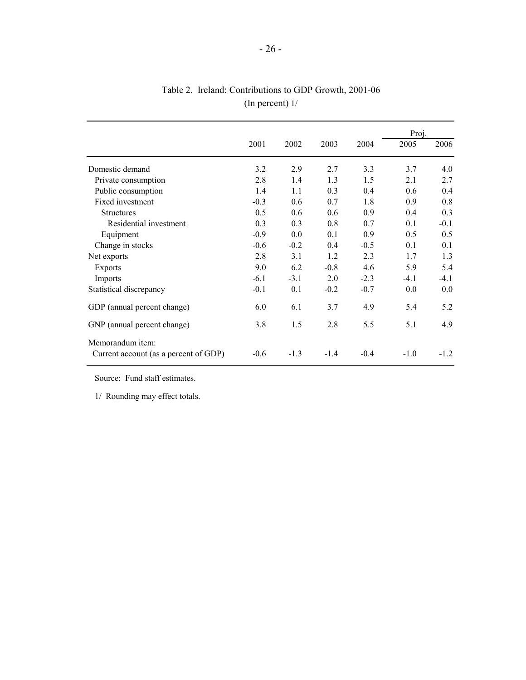|                                       |        |        |        |        | Proj.  |        |
|---------------------------------------|--------|--------|--------|--------|--------|--------|
|                                       | 2001   | 2002   | 2003   | 2004   | 2005   | 2006   |
| Domestic demand                       | 3.2    | 2.9    | 2.7    | 3.3    | 3.7    | 4.0    |
| Private consumption                   | 2.8    | 1.4    | 1.3    | 1.5    | 2.1    | 2.7    |
| Public consumption                    | 1.4    | 1.1    | 0.3    | 0.4    | 0.6    | 0.4    |
| Fixed investment                      | $-0.3$ | 0.6    | 0.7    | 1.8    | 0.9    | 0.8    |
| <b>Structures</b>                     | 0.5    | 0.6    | 0.6    | 0.9    | 0.4    | 0.3    |
| Residential investment                | 0.3    | 0.3    | 0.8    | 0.7    | 0.1    | $-0.1$ |
| Equipment                             | $-0.9$ | 0.0    | 0.1    | 0.9    | 0.5    | 0.5    |
| Change in stocks                      | $-0.6$ | $-0.2$ | 0.4    | $-0.5$ | 0.1    | 0.1    |
| Net exports                           | 2.8    | 3.1    | 1.2    | 2.3    | 1.7    | 1.3    |
| Exports                               | 9.0    | 6.2    | $-0.8$ | 4.6    | 5.9    | 5.4    |
| Imports                               | $-6.1$ | $-3.1$ | 2.0    | $-2.3$ | $-4.1$ | $-4.1$ |
| Statistical discrepancy               | $-0.1$ | 0.1    | $-0.2$ | $-0.7$ | 0.0    | 0.0    |
| GDP (annual percent change)           | 6.0    | 6.1    | 3.7    | 4.9    | 5.4    | 5.2    |
| GNP (annual percent change)           | 3.8    | 1.5    | 2.8    | 5.5    | 5.1    | 4.9    |
| Memorandum item:                      |        |        |        |        |        |        |
| Current account (as a percent of GDP) | $-0.6$ | $-1.3$ | $-1.4$ | $-0.4$ | $-1.0$ | $-1.2$ |

Table 2. Ireland: Contributions to GDP Growth, 2001-06 (In percent) 1/

Source: Fund staff estimates.

1/ Rounding may effect totals.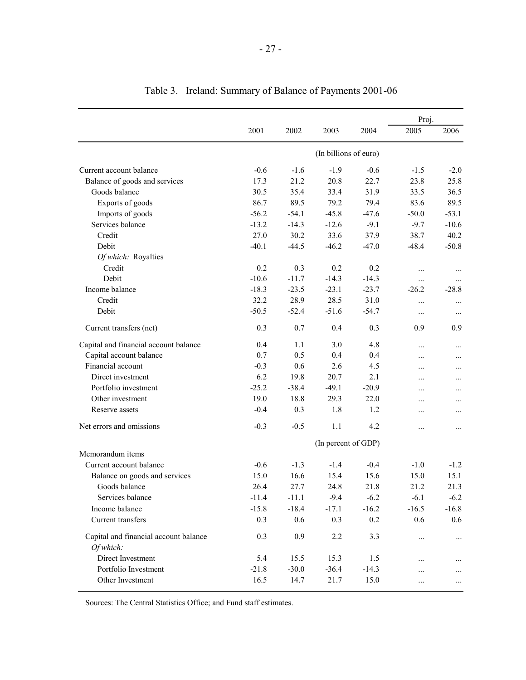| Current account balance<br>Balance of goods and services<br>Goods balance<br>Exports of goods<br>Imports of goods<br>Services balance<br>Credit<br>Debit<br>Of which: Royalties<br>Credit<br>Debit<br>Income balance<br>Credit<br>Debit | 2001<br>$-0.6$ | 2002    | 2003                | 2004                  | 2005     | 2006     |
|-----------------------------------------------------------------------------------------------------------------------------------------------------------------------------------------------------------------------------------------|----------------|---------|---------------------|-----------------------|----------|----------|
|                                                                                                                                                                                                                                         |                |         |                     |                       |          |          |
|                                                                                                                                                                                                                                         |                |         |                     | (In billions of euro) |          |          |
|                                                                                                                                                                                                                                         |                | $-1.6$  | $-1.9$              | $-0.6$                | $-1.5$   | $-2.0$   |
|                                                                                                                                                                                                                                         | 17.3           | 21.2    | 20.8                | 22.7                  | 23.8     | 25.8     |
|                                                                                                                                                                                                                                         | 30.5           | 35.4    | 33.4                | 31.9                  | 33.5     | 36.5     |
|                                                                                                                                                                                                                                         | 86.7           | 89.5    | 79.2                | 79.4                  | 83.6     | 89.5     |
|                                                                                                                                                                                                                                         | $-56.2$        | $-54.1$ | $-45.8$             | $-47.6$               | $-50.0$  | $-53.1$  |
|                                                                                                                                                                                                                                         | $-13.2$        | $-14.3$ | $-12.6$             | $-9.1$                | $-9.7$   | $-10.6$  |
|                                                                                                                                                                                                                                         | 27.0           | 30.2    | 33.6                | 37.9                  | 38.7     | 40.2     |
|                                                                                                                                                                                                                                         | $-40.1$        | $-44.5$ | $-46.2$             | $-47.0$               | $-48.4$  | $-50.8$  |
|                                                                                                                                                                                                                                         |                |         |                     |                       |          |          |
|                                                                                                                                                                                                                                         | 0.2            | 0.3     | 0.2                 | 0.2                   |          |          |
|                                                                                                                                                                                                                                         | $-10.6$        | $-11.7$ | $-14.3$             | $-14.3$               | $\cdots$ |          |
|                                                                                                                                                                                                                                         | $-18.3$        | $-23.5$ | $-23.1$             | $-23.7$               | $-26.2$  | $-28.8$  |
|                                                                                                                                                                                                                                         | 32.2           | 28.9    | 28.5                | 31.0                  | $\cdots$ |          |
|                                                                                                                                                                                                                                         | $-50.5$        | $-52.4$ | $-51.6$             | $-54.7$               | $\cdots$ | $\cdots$ |
| Current transfers (net)                                                                                                                                                                                                                 | 0.3            | 0.7     | 0.4                 | 0.3                   | 0.9      | 0.9      |
| Capital and financial account balance                                                                                                                                                                                                   | 0.4            | 1.1     | 3.0                 | 4.8                   | .        |          |
| Capital account balance                                                                                                                                                                                                                 | 0.7            | 0.5     | 0.4                 | 0.4                   | .        |          |
| Financial account                                                                                                                                                                                                                       | $-0.3$         | 0.6     | 2.6                 | 4.5                   |          | .        |
| Direct investment                                                                                                                                                                                                                       | 6.2            | 19.8    | 20.7                | 2.1                   | .        | .        |
| Portfolio investment                                                                                                                                                                                                                    | $-25.2$        | $-38.4$ | $-49.1$             | $-20.9$               |          | .        |
| Other investment                                                                                                                                                                                                                        | 19.0           | 18.8    | 29.3                | 22.0                  | .        | .        |
| Reserve assets                                                                                                                                                                                                                          | $-0.4$         | 0.3     | 1.8                 | 1.2                   | .        |          |
| Net errors and omissions                                                                                                                                                                                                                | $-0.3$         | $-0.5$  | 1.1                 | 4.2                   |          | $\cdots$ |
|                                                                                                                                                                                                                                         |                |         | (In percent of GDP) |                       |          |          |
| Memorandum items                                                                                                                                                                                                                        |                |         |                     |                       |          |          |
| Current account balance                                                                                                                                                                                                                 | $-0.6$         | $-1.3$  | $-1.4$              | $-0.4$                | $-1.0$   | $-1.2$   |
| Balance on goods and services                                                                                                                                                                                                           | 15.0           | 16.6    | 15.4                | 15.6                  | 15.0     | 15.1     |
| Goods balance                                                                                                                                                                                                                           | 26.4           | 27.7    | 24.8                | 21.8                  | 21.2     | 21.3     |
| Services balance                                                                                                                                                                                                                        | $-11.4$        | $-11.1$ | $-9.4$              | $-6.2$                | $-6.1$   | $-6.2$   |
| Income balance                                                                                                                                                                                                                          | $-15.8$        | $-18.4$ | $-17.1$             | $-16.2$               | $-16.5$  | $-16.8$  |
| Current transfers                                                                                                                                                                                                                       | 0.3            | 0.6     | 0.3                 | 0.2                   | 0.6      | 0.6      |
| Capital and financial account balance<br>Of which:                                                                                                                                                                                      | 0.3            | 0.9     | 2.2                 | 3.3                   |          |          |
| Direct Investment                                                                                                                                                                                                                       | 5.4            | 15.5    |                     |                       |          |          |
| Portfolio Investment                                                                                                                                                                                                                    |                |         |                     |                       |          |          |
| Other Investment                                                                                                                                                                                                                        | $-21.8$        | $-30.0$ | 15.3<br>$-36.4$     | 1.5<br>$-14.3$        | .        |          |

## Table 3. Ireland: Summary of Balance of Payments 2001-06

Sources: The Central Statistics Office; and Fund staff estimates.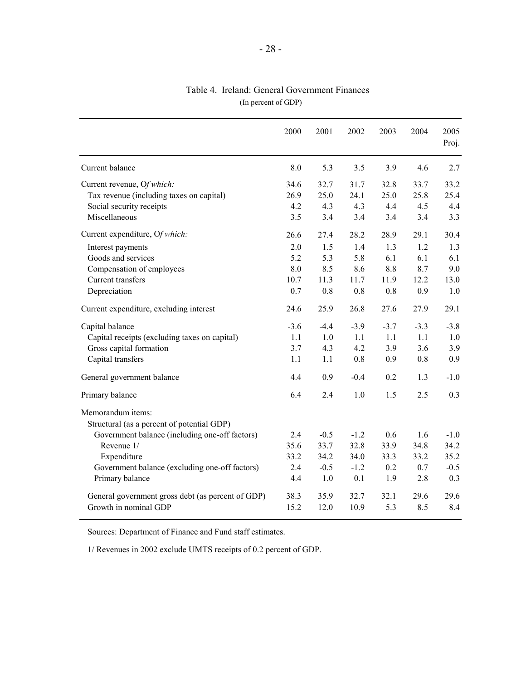|                                                                 | 2000   | 2001   | 2002   | 2003   | 2004   | 2005<br>Proj. |
|-----------------------------------------------------------------|--------|--------|--------|--------|--------|---------------|
| Current balance                                                 | 8.0    | 5.3    | 3.5    | 3.9    | 4.6    | 2.7           |
| Current revenue, Of which:                                      | 34.6   | 32.7   | 31.7   | 32.8   | 33.7   | 33.2          |
| Tax revenue (including taxes on capital)                        | 26.9   | 25.0   | 24.1   | 25.0   | 25.8   | 25.4          |
| Social security receipts                                        | 4.2    | 4.3    | 4.3    | 4.4    | 4.5    | 4.4           |
| Miscellaneous                                                   | 3.5    | 3.4    | 3.4    | 3.4    | 3.4    | 3.3           |
| Current expenditure, Of which:                                  | 26.6   | 27.4   | 28.2   | 28.9   | 29.1   | 30.4          |
| Interest payments                                               | 2.0    | 1.5    | 1.4    | 1.3    | 1.2    | 1.3           |
| Goods and services                                              | 5.2    | 5.3    | 5.8    | 6.1    | 6.1    | 6.1           |
| Compensation of employees                                       | 8.0    | 8.5    | 8.6    | 8.8    | 8.7    | 9.0           |
| Current transfers                                               | 10.7   | 11.3   | 11.7   | 11.9   | 12.2   | 13.0          |
| Depreciation                                                    | 0.7    | 0.8    | 0.8    | 0.8    | 0.9    | 1.0           |
| Current expenditure, excluding interest                         | 24.6   | 25.9   | 26.8   | 27.6   | 27.9   | 29.1          |
| Capital balance                                                 | $-3.6$ | $-4.4$ | $-3.9$ | $-3.7$ | $-3.3$ | $-3.8$        |
| Capital receipts (excluding taxes on capital)                   | 1.1    | 1.0    | 1.1    | 1.1    | 1.1    | 1.0           |
| Gross capital formation                                         | 3.7    | 4.3    | 4.2    | 3.9    | 3.6    | 3.9           |
| Capital transfers                                               | 1.1    | 1.1    | 0.8    | 0.9    | 0.8    | 0.9           |
| General government balance                                      | 4.4    | 0.9    | $-0.4$ | 0.2    | 1.3    | $-1.0$        |
| Primary balance                                                 | 6.4    | 2.4    | 1.0    | 1.5    | 2.5    | 0.3           |
| Memorandum items:<br>Structural (as a percent of potential GDP) |        |        |        |        |        |               |
| Government balance (including one-off factors)                  | 2.4    | $-0.5$ | $-1.2$ | 0.6    | 1.6    | $-1.0$        |
| Revenue 1/                                                      | 35.6   | 33.7   | 32.8   | 33.9   | 34.8   | 34.2          |
| Expenditure                                                     | 33.2   | 34.2   | 34.0   | 33.3   | 33.2   | 35.2          |
| Government balance (excluding one-off factors)                  | 2.4    | $-0.5$ | $-1.2$ | 0.2    | 0.7    | $-0.5$        |
| Primary balance                                                 | 4.4    | 1.0    | 0.1    | 1.9    | 2.8    | 0.3           |
| General government gross debt (as percent of GDP)               | 38.3   | 35.9   | 32.7   | 32.1   | 29.6   | 29.6          |
| Growth in nominal GDP                                           | 15.2   | 12.0   | 10.9   | 5.3    | 8.5    | 8.4           |

### (In percent of GDP) Table 4. Ireland: General Government Finances

Sources: Department of Finance and Fund staff estimates.

1/ Revenues in 2002 exclude UMTS receipts of 0.2 percent of GDP.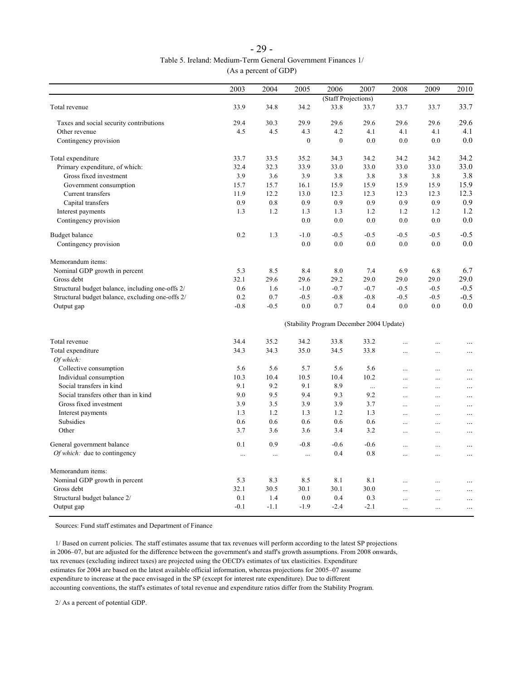| $-29-$                                                       |
|--------------------------------------------------------------|
| Table 5. Ireland: Medium-Term General Government Finances 1/ |
| (As a percent of GDP)                                        |

|                                                  | 2003     | 2004     | 2005         | 2006                                     | 2007     | 2008       | 2009       | 2010      |
|--------------------------------------------------|----------|----------|--------------|------------------------------------------|----------|------------|------------|-----------|
|                                                  |          |          |              | (Staff Projections)                      |          |            |            |           |
| Total revenue                                    | 33.9     | 34.8     | 34.2         | 33.8                                     | 33.7     | 33.7       | 33.7       | 33.7      |
| Taxes and social security contributions          | 29.4     | 30.3     | 29.9         | 29.6                                     | 29.6     | 29.6       | 29.6       | 29.6      |
| Other revenue                                    | 4.5      | 4.5      | 4.3          | 4.2                                      | 4.1      | 4.1        | 4.1        | 4.1       |
| Contingency provision                            |          |          | $\mathbf{0}$ | $\mathbf{0}$                             | 0.0      | 0.0        | 0.0        | 0.0       |
| Total expenditure                                | 33.7     | 33.5     | 35.2         | 34.3                                     | 34.2     | 34.2       | 34.2       | 34.2      |
| Primary expenditure, of which:                   | 32.4     | 32.3     | 33.9         | 33.0                                     | 33.0     | 33.0       | 33.0       | 33.0      |
| Gross fixed investment                           | 3.9      | 3.6      | 3.9          | 3.8                                      | 3.8      | 3.8        | 3.8        | 3.8       |
| Government consumption                           | 15.7     | 15.7     | 16.1         | 15.9                                     | 15.9     | 15.9       | 15.9       | 15.9      |
| Current transfers                                | 11.9     | 12.2     | 13.0         | 12.3                                     | 12.3     | 12.3       | 12.3       | 12.3      |
| Capital transfers                                | 0.9      | 0.8      | 0.9          | 0.9                                      | 0.9      | 0.9        | 0.9        | 0.9       |
| Interest payments                                | 1.3      | 1.2      | 1.3          | 1.3                                      | 1.2      | 1.2        | 1.2        | 1.2       |
| Contingency provision                            |          |          | 0.0          | 0.0                                      | 0.0      | 0.0        | 0.0        | 0.0       |
| <b>Budget balance</b>                            | 0.2      | 1.3      | $-1.0$       | $-0.5$                                   | $-0.5$   | $-0.5$     | $-0.5$     | $-0.5$    |
| Contingency provision                            |          |          | 0.0          | 0.0                                      | 0.0      | 0.0        | 0.0        | 0.0       |
| Memorandum items:                                |          |          |              |                                          |          |            |            |           |
| Nominal GDP growth in percent                    | 5.3      | 8.5      | 8.4          | 8.0                                      | 7.4      | 6.9        | 6.8        | 6.7       |
| Gross debt                                       | 32.1     | 29.6     | 29.6         | 29.2                                     | 29.0     | 29.0       | 29.0       | 29.0      |
| Structural budget balance, including one-offs 2/ | 0.6      | 1.6      | $-1.0$       | $-0.7$                                   | $-0.7$   | $-0.5$     | $-0.5$     | $-0.5$    |
| Structural budget balance, excluding one-offs 2/ | 0.2      | 0.7      | $-0.5$       | $-0.8$                                   | $-0.8$   | $-0.5$     | $-0.5$     | $-0.5$    |
| Output gap                                       | $-0.8$   | $-0.5$   | 0.0          | 0.7                                      | 0.4      | 0.0        | 0.0        | 0.0       |
|                                                  |          |          |              | (Stability Program December 2004 Update) |          |            |            |           |
| Total revenue                                    | 34.4     | 35.2     | 34.2         | 33.8                                     | 33.2     | $\dddotsc$ | $\cdots$   | $\ddotsc$ |
| Total expenditure                                | 34.3     | 34.3     | 35.0         | 34.5                                     | 33.8     | $\cdots$   | $\cdots$   | $\ddotsc$ |
| Of which:                                        |          |          |              |                                          |          |            |            |           |
| Collective consumption                           | 5.6      | 5.6      | 5.7          | 5.6                                      | 5.6      | $\ddotsc$  | $\cdots$   | $\ddots$  |
| Individual consumption                           | 10.3     | 10.4     | 10.5         | 10.4                                     | 10.2     |            |            |           |
| Social transfers in kind                         | 9.1      | 9.2      | 9.1          | 8.9                                      | $\cdots$ | $\cdots$   | $\cdots$   | $\ldots$  |
| Social transfers other than in kind              | 9.0      | 9.5      | 9.4          | 9.3                                      | 9.2      | $\cdots$   | $\cdots$   | $\cdots$  |
| Gross fixed investment                           | 3.9      | 3.5      | 3.9          | 3.9                                      | 3.7      | $\dddotsc$ | $\cdots$   | $\ldots$  |
| Interest payments                                | 1.3      | 1.2      | 1.3          | 1.2                                      | 1.3      | $\cdots$   | .          | $\ddots$  |
| Subsidies                                        | 0.6      | 0.6      | 0.6          |                                          | 0.6      | $\ddotsc$  | $\cdots$   | $\ldots$  |
| Other                                            | 3.7      |          |              | 0.6<br>3.4                               | 3.2      | $\cdots$   |            | .         |
|                                                  |          | 3.6      | 3.6          |                                          |          | $\cdots$   | $\cdots$   |           |
| General government balance                       | 0.1      | 0.9      | $-0.8$       | $-0.6$                                   | $-0.6$   | $\ddotsc$  | $\cdots$   | $\ddots$  |
| Of which: due to contingency                     | $\cdots$ | $\cdots$ | $\cdots$     | 0.4                                      | 0.8      | $\cdots$   | $\cdots$   | $\ldots$  |
| Memorandum items:                                |          |          |              |                                          |          |            |            |           |
| Nominal GDP growth in percent                    | 5.3      | 8.3      | 8.5          | 8.1                                      | 8.1      | $\dddotsc$ |            | .         |
| Gross debt                                       | 32.1     | 30.5     | 30.1         | 30.1                                     | 30.0     | $\dddotsc$ | $\cdots$   | $\cdots$  |
| Structural budget balance 2/                     | 0.1      | 1.4      | 0.0          | 0.4                                      | 0.3      | $\dddotsc$ | $\cdots$   | $\ddots$  |
| Output gap                                       | $-0.1$   | $-1.1$   | $-1.9$       | $-2.4$                                   | $-2.1$   | $\ddotsc$  | $\dddotsc$ | .         |

Sources: Fund staff estimates and Department of Finance

 1/ Based on current policies. The staff estimates assume that tax revenues will perform according to the latest SP projections in 2006–07, but are adjusted for the difference between the government's and staff's growth assumptions. From 2008 onwards, tax revenues (excluding indirect taxes) are projected using the OECD's estimates of tax elasticities. Expenditure estimates for 2004 are based on the latest available official information, whereas projections for 2005–07 assume expenditure to increase at the pace envisaged in the SP (except for interest rate expenditure). Due to different accounting conventions, the staff's estimates of total revenue and expenditure ratios differ from the Stability Program.

2/ As a percent of potential GDP.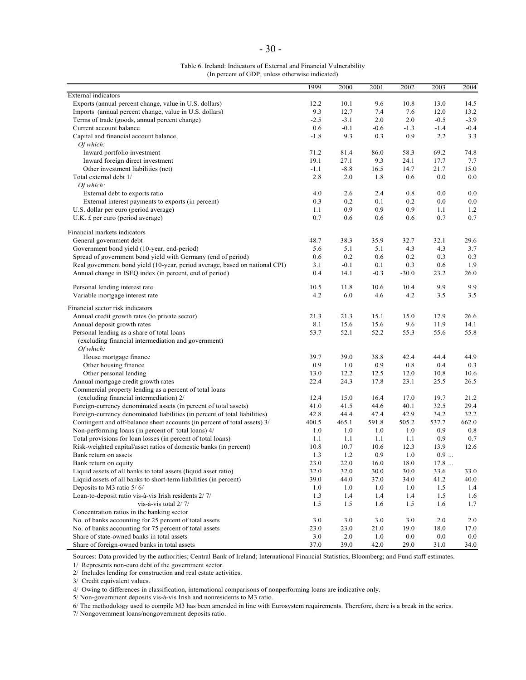| Table 6. Ireland: Indicators of External and Financial Vulnerability |
|----------------------------------------------------------------------|
| (In percent of GDP, unless otherwise indicated)                      |

|                                                                             | 1999        | 2000        | 2001        | 2002        | 2003   | 2004         |
|-----------------------------------------------------------------------------|-------------|-------------|-------------|-------------|--------|--------------|
| <b>External</b> indicators                                                  |             |             |             |             |        |              |
| Exports (annual percent change, value in U.S. dollars)                      | 12.2        | 10.1        | 9.6         | 10.8        | 13.0   | 14.5         |
| Imports (annual percent change, value in U.S. dollars)                      | 9.3         | 12.7        | 7.4         | 7.6         | 12.0   | 13.2         |
| Terms of trade (goods, annual percent change)                               | $-2.5$      | $-3.1$      | 2.0         | 2.0         | $-0.5$ | $-3.9$       |
| Current account balance                                                     | 0.6         | $-0.1$      | $-0.6$      | $-1.3$      | $-1.4$ | $-0.4$       |
| Capital and financial account balance,                                      | $-1.8$      | 9.3         | 0.3         | 0.9         | 2.2    | 3.3          |
| Of which:                                                                   |             |             |             |             |        |              |
| Inward portfolio investment                                                 | 71.2        | 81.4        | 86.0        | 58.3        | 69.2   | 74.8         |
| Inward foreign direct investment                                            | 19.1        | 27.1        | 9.3         | 24.1        | 17.7   | 7.7          |
| Other investment liabilities (net)                                          | $-1.1$      | $-8.8$      | 16.5        | 14.7        | 21.7   | 15.0         |
| Total external debt 1/                                                      | 2.8         | 2.0         | 1.8         | 0.6         | 0.0    | 0.0          |
| Of which.                                                                   |             |             |             |             |        |              |
| External debt to exports ratio                                              | 4.0         | 2.6         | 2.4         | 0.8         | 0.0    | 0.0          |
| External interest payments to exports (in percent)                          | 0.3         | 0.2         | 0.1         | 0.2         | 0.0    | 0.0          |
| U.S. dollar per euro (period average)                                       | 1.1         | 0.9         | 0.9         | 0.9         | 1.1    | 1.2          |
| U.K. £ per euro (period average)                                            | 0.7         | 0.6         | 0.6         | 0.6         | 0.7    | 0.7          |
| Financial markets indicators                                                |             |             |             |             |        |              |
| General government debt                                                     | 48.7        | 38.3        | 35.9        | 32.7        | 32.1   | 29.6         |
| Government bond yield (10-year, end-period)                                 | 5.6         | 5.1         | 5.1         | 4.3         | 4.3    | 3.7          |
| Spread of government bond yield with Germany (end of period)                | 0.6         | 0.2         | 0.6         | 0.2         | 0.3    | 0.3          |
| Real government bond yield (10-year, period average, based on national CPI) | 3.1         | $-0.1$      | 0.1         | 0.3         | 0.6    | 1.9          |
| Annual change in ISEQ index (in percent, end of period)                     | 0.4         | 14.1        | $-0.3$      | $-30.0$     | 23.2   | 26.0         |
| Personal lending interest rate                                              | 10.5        | 11.8        | 10.6        | 10.4        | 9.9    | 9.9          |
| Variable mortgage interest rate                                             | 4.2         | 6.0         | 4.6         | 4.2         | 3.5    | 3.5          |
| Financial sector risk indicators                                            |             |             |             |             |        |              |
|                                                                             |             |             |             |             |        |              |
| Annual credit growth rates (to private sector)                              | 21.3        | 21.3        | 15.1        | 15.0        | 17.9   | 26.6         |
| Annual deposit growth rates                                                 | 8.1<br>53.7 | 15.6        | 15.6        | 9.6         | 11.9   | 14.1<br>55.8 |
| Personal lending as a share of total loans                                  |             | 52.1        | 52.2        | 55.3        | 55.6   |              |
| (excluding financial intermediation and government)                         |             |             |             |             |        |              |
| Of which:                                                                   |             |             |             |             | 44.4   |              |
| House mortgage finance<br>Other housing finance                             | 39.7<br>0.9 | 39.0<br>1.0 | 38.8<br>0.9 | 42.4<br>0.8 | 0.4    | 44.9<br>0.3  |
| Other personal lending                                                      | 13.0        | 12.2        | 12.5        | 12.0        | 10.8   | 10.6         |
| Annual mortgage credit growth rates                                         | 22.4        | 24.3        | 17.8        | 23.1        | 25.5   | 26.5         |
| Commercial property lending as a percent of total loans                     |             |             |             |             |        |              |
| (excluding financial intermediation) 2/                                     | 12.4        | 15.0        | 16.4        | 17.0        | 19.7   | 21.2         |
| Foreign-currency denominated assets (in percent of total assets)            | 41.0        | 41.5        | 44.6        | 40.1        | 32.5   | 29.4         |
| Foreign-currency denominated liabilities (in percent of total liabilities)  | 42.8        | 44.4        | 47.4        | 42.9        | 34.2   | 32.2         |
| Contingent and off-balance sheet accounts (in percent of total assets) 3/   | 400.5       | 465.1       | 591.8       | 505.2       | 537.7  | 662.0        |
| Non-performing loans (in percent of total loans) 4/                         | 1.0         | 1.0         | 1.0         | 1.0         | 0.9    | 0.8          |
| Total provisions for loan losses (in percent of total loans)                | 1.1         | 1.1         | 1.1         | 1.1         | 0.9    | 0.7          |
| Risk-weighted capital/asset ratios of domestic banks (in percent)           | 10.8        | 10.7        | 10.6        | 12.3        | 13.9   | 12.6         |
| Bank return on assets                                                       | 1.3         | 1.2         | 0.9         | 1.0         | 0.9    |              |
| Bank return on equity                                                       | 23.0        | 22.0        | 16.0        | 18.0        | 17.8   |              |
| Liquid assets of all banks to total assets (liquid asset ratio)             | 32.0        | 32.0        | 30.0        | 30.0        | 33.6   | 33.0         |
| Liquid assets of all banks to short-term liabilities (in percent)           | 39.0        | 44.0        | 37.0        | 34.0        | 41.2   | 40.0         |
| Deposits to M3 ratio 5/6/                                                   | 1.0         | 1.0         | 1.0         | 1.0         | 1.5    | 1.4          |
| Loan-to-deposit ratio vis-à-vis Irish residents 2/7/                        | 1.3         | 1.4         | 1.4         | 1.4         | 1.5    | 1.6          |
| vis-à-vis total $2/7/$                                                      | 1.5         | 1.5         | 1.6         | 1.5         | 1.6    | 1.7          |
| Concentration ratios in the banking sector                                  |             |             |             |             |        |              |
| No. of banks accounting for 25 percent of total assets                      | 3.0         | 3.0         | 3.0         | 3.0         | 2.0    | 2.0          |
| No. of banks accounting for 75 percent of total assets                      | 23.0        | 23.0        | 21.0        | 19.0        | 18.0   | 17.0         |
| Share of state-owned banks in total assets                                  | 3.0         | 2.0         | 1.0         | 0.0         | 0.0    | 0.0          |
| Share of foreign-owned banks in total assets                                | 37.0        | 39.0        | 42.0        | 29.0        | 31.0   | 34.0         |
|                                                                             |             |             |             |             |        |              |

Sources: Data provided by the authorities; Central Bank of Ireland; International Financial Statistics; Bloomberg; and Fund staff estimates.

1/ Represents non-euro debt of the government sector.

2/ Includes lending for construction and real estate activities.

3/ Credit equivalent values.

4/ Owing to differences in classification, international comparisons of nonperforming loans are indicative only.

5/ Non-government deposits vis-à-vis Irish and nonresidents to M3 ratio.

6/ The methodology used to compile M3 has been amended in line with Eurosystem requirements. Therefore, there is a break in the series.

7/ Nongovernment loans/nongovernment deposits ratio.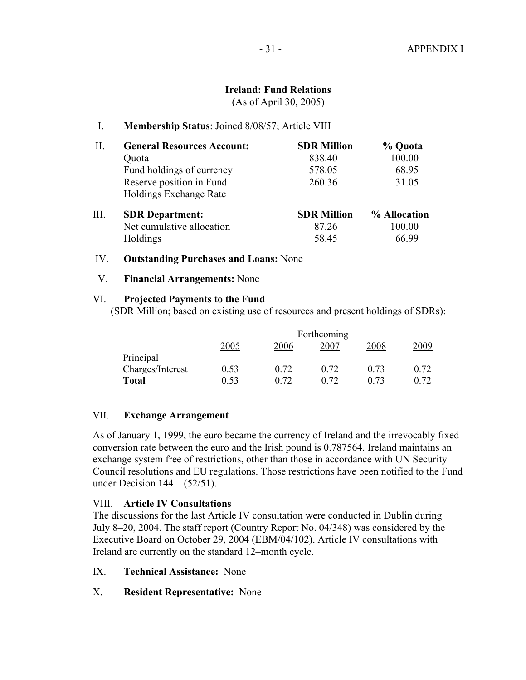### **Ireland: Fund Relations**

(As of April 30, 2005)

### I. **Membership Status**: Joined 8/08/57; Article VIII

| Π. | <b>General Resources Account:</b> | <b>SDR Million</b> | % Quota      |
|----|-----------------------------------|--------------------|--------------|
|    | Quota                             | 838.40             | 100.00       |
|    | Fund holdings of currency         | 578.05             | 68.95        |
|    | Reserve position in Fund          | 260.36             | 31.05        |
|    | Holdings Exchange Rate            |                    |              |
| Ш. | <b>SDR</b> Department:            | <b>SDR Million</b> | % Allocation |
|    | Net cumulative allocation         | 87.26              | 100.00       |
|    | Holdings                          | 58.45              | 66.99        |

### IV. **Outstanding Purchases and Loans:** None

### V. **Financial Arrangements:** None

### VI. **Projected Payments to the Fund**

(SDR Million; based on existing use of resources and present holdings of SDRs):

|                  |             |      | Forthcoming |      |  |
|------------------|-------------|------|-------------|------|--|
|                  | 2005        | 2006 | 2007        | 2008 |  |
| Principal        |             |      |             |      |  |
| Charges/Interest | <u>0.53</u> |      | 72          |      |  |
| <b>Total</b>     |             |      | 70          |      |  |

### VII. **Exchange Arrangement**

As of January 1, 1999, the euro became the currency of Ireland and the irrevocably fixed conversion rate between the euro and the Irish pound is 0.787564. Ireland maintains an exchange system free of restrictions, other than those in accordance with UN Security Council resolutions and EU regulations. Those restrictions have been notified to the Fund under Decision 144—(52/51).

### VIII. **Article IV Consultations**

The discussions for the last Article IV consultation were conducted in Dublin during July 8–20, 2004. The staff report (Country Report No. 04/348) was considered by the Executive Board on October 29, 2004 (EBM/04/102). Article IV consultations with Ireland are currently on the standard 12–month cycle.

- IX. **Technical Assistance:** None
- X. **Resident Representative:** None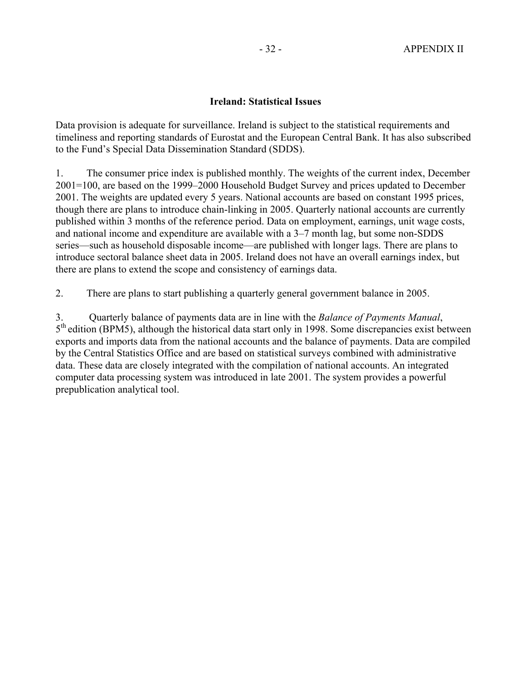### **Ireland: Statistical Issues**

Data provision is adequate for surveillance. Ireland is subject to the statistical requirements and timeliness and reporting standards of Eurostat and the European Central Bank. It has also subscribed to the Fund's Special Data Dissemination Standard (SDDS).

1. The consumer price index is published monthly. The weights of the current index, December 2001=100, are based on the 1999–2000 Household Budget Survey and prices updated to December 2001. The weights are updated every 5 years. National accounts are based on constant 1995 prices, though there are plans to introduce chain-linking in 2005. Quarterly national accounts are currently published within 3 months of the reference period. Data on employment, earnings, unit wage costs, and national income and expenditure are available with a 3–7 month lag, but some non-SDDS series—such as household disposable income—are published with longer lags. There are plans to introduce sectoral balance sheet data in 2005. Ireland does not have an overall earnings index, but there are plans to extend the scope and consistency of earnings data.

2. There are plans to start publishing a quarterly general government balance in 2005.

3. Quarterly balance of payments data are in line with the *Balance of Payments Manual*, 5<sup>th</sup> edition (BPM5), although the historical data start only in 1998. Some discrepancies exist between exports and imports data from the national accounts and the balance of payments. Data are compiled by the Central Statistics Office and are based on statistical surveys combined with administrative data. These data are closely integrated with the compilation of national accounts. An integrated computer data processing system was introduced in late 2001. The system provides a powerful prepublication analytical tool.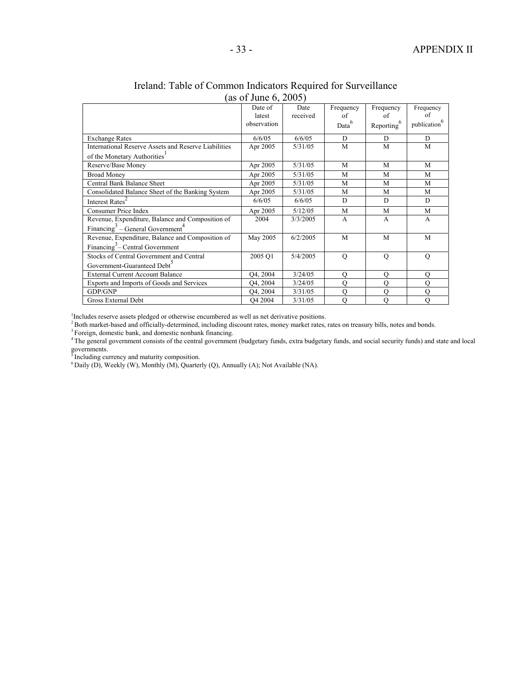|                                                          | $\mu$ of $\mu$ and $\mu$ , $\mu$ over |                  |                   |                        |                          |
|----------------------------------------------------------|---------------------------------------|------------------|-------------------|------------------------|--------------------------|
|                                                          | Date of<br>latest                     | Date<br>received | Frequency<br>of   | Frequency<br>of        | Frequency<br>of          |
|                                                          | observation                           |                  | Data <sup>6</sup> | Reporting <sup>6</sup> | publication <sup>6</sup> |
| <b>Exchange Rates</b>                                    | 6/6/05                                | 6/6/05           | D                 | D                      | D                        |
| International Reserve Assets and Reserve Liabilities     | Apr 2005                              | 5/31/05          | M                 | M                      | M                        |
| of the Monetary Authorities <sup>1</sup>                 |                                       |                  |                   |                        |                          |
| Reserve/Base Money                                       | Apr 2005                              | 5/31/05          | M                 | M                      | M                        |
| <b>Broad Money</b>                                       | Apr 2005                              | 5/31/05          | M                 | M                      | M                        |
| Central Bank Balance Sheet                               | Apr 2005                              | 5/31/05          | M                 | M                      | M                        |
| Consolidated Balance Sheet of the Banking System         | Apr 2005                              | 5/31/05          | M                 | M                      | M                        |
| Interest Rates <sup>4</sup>                              | 6/6/05                                | 6/6/05           | D                 | D                      | D                        |
| Consumer Price Index                                     | Apr 2005                              | 5/12/05          | M                 | M                      | M                        |
| Revenue, Expenditure, Balance and Composition of         | 2004                                  | 3/3/2005         | A                 | A                      | A                        |
| Financing <sup>3</sup> – General Government <sup>4</sup> |                                       |                  |                   |                        |                          |
| Revenue, Expenditure, Balance and Composition of         | May 2005                              | 6/2/2005         | M                 | M                      | M                        |
| Financing <sup>3</sup> – Central Government              |                                       |                  |                   |                        |                          |
| Stocks of Central Government and Central                 | 2005 O1                               | 5/4/2005         | $\mathbf Q$       | $\mathbf Q$            | $\mathbf Q$              |
| Government-Guaranteed Debt <sup>3</sup>                  |                                       |                  |                   |                        |                          |
| <b>External Current Account Balance</b>                  | O <sub>4</sub> , 2004                 | 3/24/05          | Q                 | Q                      | $\mathbf{O}$             |
| Exports and Imports of Goods and Services                | O <sub>4</sub> , 2004                 | 3/24/05          | $\mathcal{O}$     | $\mathcal{O}$          | $\Omega$                 |
| GDP/GNP                                                  | O <sub>4</sub> , 2004                 | 3/31/05          | Q                 | Q                      | O                        |
| Gross External Debt                                      | O <sub>4</sub> 2004                   | 3/31/05          | $\mathcal{O}$     | $\mathbf Q$            | O                        |

#### Ireland: Table of Common Indicators Required for Surveillance (as of June 6, 2005)

<sup>1</sup>Includes reserve assets pledged or otherwise encumbered as well as net derivative positions.

<sup>2</sup> Both market-based and officially-determined, including discount rates, money market rates, rates on treasury bills, notes and bonds.<br><sup>3</sup> Foreign, domestic bank, and domestic nonbank financing.<br><sup>4</sup> The general governmen governments.

<sup>5</sup> Including currency and maturity composition.

 $6$  Daily (D), Weekly (W), Monthly (M), Quarterly (Q), Annually (A); Not Available (NA).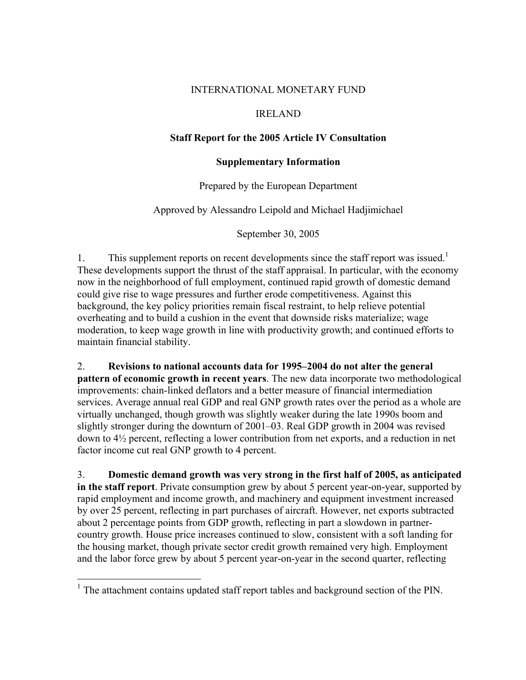### INTERNATIONAL MONETARY FUND

### IRELAND

### **Staff Report for the 2005 Article IV Consultation**

### **Supplementary Information**

Prepared by the European Department

Approved by Alessandro Leipold and Michael Hadjimichael

September 30, 2005

1. This supplement reports on recent developments since the staff report was issued.<sup>1</sup> These developments support the thrust of the staff appraisal. In particular, with the economy now in the neighborhood of full employment, continued rapid growth of domestic demand could give rise to wage pressures and further erode competitiveness. Against this background, the key policy priorities remain fiscal restraint, to help relieve potential overheating and to build a cushion in the event that downside risks materialize; wage moderation, to keep wage growth in line with productivity growth; and continued efforts to maintain financial stability.

2. **Revisions to national accounts data for 1995–2004 do not alter the general pattern of economic growth in recent years**. The new data incorporate two methodological improvements: chain-linked deflators and a better measure of financial intermediation services. Average annual real GDP and real GNP growth rates over the period as a whole are virtually unchanged, though growth was slightly weaker during the late 1990s boom and slightly stronger during the downturn of 2001–03. Real GDP growth in 2004 was revised down to 4½ percent, reflecting a lower contribution from net exports, and a reduction in net factor income cut real GNP growth to 4 percent.

3. **Domestic demand growth was very strong in the first half of 2005, as anticipated in the staff report**. Private consumption grew by about 5 percent year-on-year, supported by rapid employment and income growth, and machinery and equipment investment increased by over 25 percent, reflecting in part purchases of aircraft. However, net exports subtracted about 2 percentage points from GDP growth, reflecting in part a slowdown in partnercountry growth. House price increases continued to slow, consistent with a soft landing for the housing market, though private sector credit growth remained very high. Employment and the labor force grew by about 5 percent year-on-year in the second quarter, reflecting

1

 $<sup>1</sup>$  The attachment contains updated staff report tables and background section of the PIN.</sup>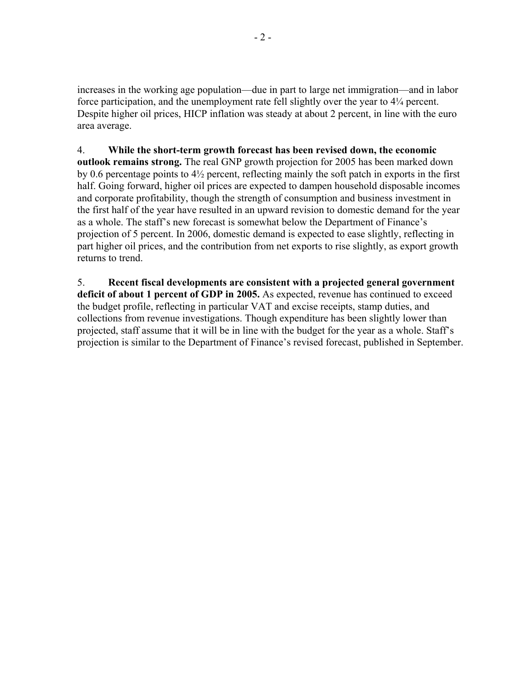increases in the working age population—due in part to large net immigration—and in labor force participation, and the unemployment rate fell slightly over the year to 4¼ percent. Despite higher oil prices, HICP inflation was steady at about 2 percent, in line with the euro area average.

4. **While the short-term growth forecast has been revised down, the economic outlook remains strong.** The real GNP growth projection for 2005 has been marked down by 0.6 percentage points to 4½ percent, reflecting mainly the soft patch in exports in the first half. Going forward, higher oil prices are expected to dampen household disposable incomes and corporate profitability, though the strength of consumption and business investment in the first half of the year have resulted in an upward revision to domestic demand for the year as a whole. The staff's new forecast is somewhat below the Department of Finance's projection of 5 percent. In 2006, domestic demand is expected to ease slightly, reflecting in part higher oil prices, and the contribution from net exports to rise slightly, as export growth returns to trend.

5. **Recent fiscal developments are consistent with a projected general government deficit of about 1 percent of GDP in 2005.** As expected, revenue has continued to exceed the budget profile, reflecting in particular VAT and excise receipts, stamp duties, and collections from revenue investigations. Though expenditure has been slightly lower than projected, staff assume that it will be in line with the budget for the year as a whole. Staff's projection is similar to the Department of Finance's revised forecast, published in September.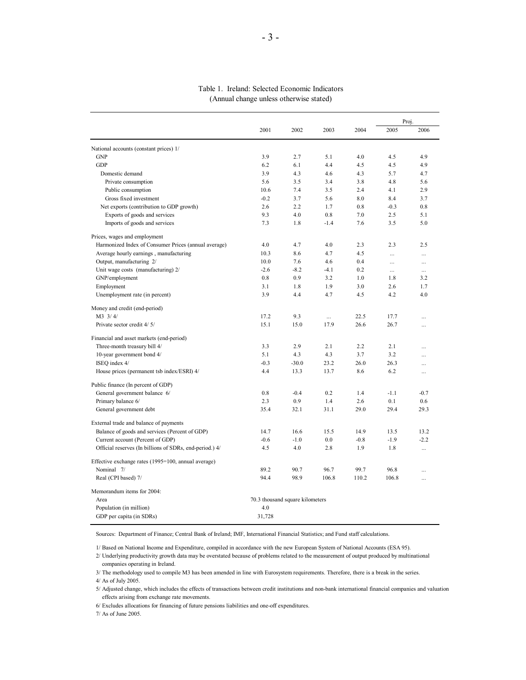#### Table 1. Ireland: Selected Economic Indicators (Annual change unless otherwise stated)

|                                                         |        |                                 |          |        | Proj.     |           |  |
|---------------------------------------------------------|--------|---------------------------------|----------|--------|-----------|-----------|--|
|                                                         | 2001   | 2002                            | 2003     | 2004   | 2005      | 2006      |  |
| National accounts (constant prices) 1/                  |        |                                 |          |        |           |           |  |
| <b>GNP</b>                                              | 3.9    | 2.7                             | 5.1      | 4.0    | 4.5       | 4.9       |  |
| <b>GDP</b>                                              | 6.2    | 6.1                             | 4.4      | 4.5    | 4.5       | 4.9       |  |
| Domestic demand                                         | 3.9    | 4.3                             | 4.6      | 4.3    | 5.7       | 4.7       |  |
| Private consumption                                     | 5.6    | 3.5                             | 3.4      | 3.8    | 4.8       | 5.6       |  |
| Public consumption                                      | 10.6   | 7.4                             | 3.5      | 2.4    | 4.1       | 2.9       |  |
| Gross fixed investment                                  | $-0.2$ | 3.7                             | 5.6      | 8.0    | 8.4       | 3.7       |  |
| Net exports (contribution to GDP growth)                | 2.6    | 2.2                             | 1.7      | 0.8    | $-0.3$    | 0.8       |  |
| Exports of goods and services                           | 9.3    | 4.0                             | 0.8      | 7.0    | 2.5       | 5.1       |  |
| Imports of goods and services                           | 7.3    | 1.8                             | $-1.4$   | 7.6    | 3.5       | 5.0       |  |
| Prices, wages and employment                            |        |                                 |          |        |           |           |  |
| Harmonized Index of Consumer Prices (annual average)    | 4.0    | 4.7                             | 4.0      | 2.3    | 2.3       | 2.5       |  |
| Average hourly earnings, manufacturing                  | 10.3   | 8.6                             | 4.7      | 4.5    | $\ddotsc$ | $\ddotsc$ |  |
| Output, manufacturing 2/                                | 10.0   | 7.6                             | 4.6      | 0.4    |           | $\cdots$  |  |
| Unit wage costs (manufacturing) 2/                      | $-2.6$ | $-8.2$                          | $-4.1$   | 0.2    | $\ldots$  | $\ldots$  |  |
| GNP/employment                                          | 0.8    | 0.9                             | 3.2      | 1.0    | 1.8       | 3.2       |  |
| Employment                                              | 3.1    | 1.8                             | 1.9      | 3.0    | 2.6       | 1.7       |  |
| Unemployment rate (in percent)                          | 3.9    | 4.4                             | 4.7      | 4.5    | 4.2       | 4.0       |  |
| Money and credit (end-period)                           |        |                                 |          |        |           |           |  |
| M3 3/4/                                                 | 17.2   | 9.3                             | $\cdots$ | 22.5   | 17.7      | $\ddotsc$ |  |
| Private sector credit 4/5/                              | 15.1   | 15.0                            | 17.9     | 26.6   | 26.7      |           |  |
| Financial and asset markets (end-period)                |        |                                 |          |        |           |           |  |
| Three-month treasury bill 4/                            | 3.3    | 2.9                             | 2.1      | 2.2    | 2.1       | $\ddotsc$ |  |
| 10-year government bond 4/                              | 5.1    | 4.3                             | 4.3      | 3.7    | 3.2       | $\ddotsc$ |  |
| ISEQ index 4/                                           | $-0.3$ | $-30.0$                         | 23.2     | 26.0   | 26.3      |           |  |
| House prices (permanent tsb index/ESRI) 4/              | 4.4    | 13.3                            | 13.7     | 8.6    | 6.2       | $\cdots$  |  |
| Public finance (In percent of GDP)                      |        |                                 |          |        |           |           |  |
| General government balance 6/                           | 0.8    | $-0.4$                          | 0.2      | 1.4    | $-1.1$    | $-0.7$    |  |
| Primary balance 6/                                      | 2.3    | 0.9                             | 1.4      | 2.6    | 0.1       | 0.6       |  |
| General government debt                                 | 35.4   | 32.1                            | 31.1     | 29.0   | 29.4      | 29.3      |  |
| External trade and balance of payments                  |        |                                 |          |        |           |           |  |
| Balance of goods and services (Percent of GDP)          | 14.7   | 16.6                            | 15.5     | 14.9   | 13.5      | 13.2      |  |
| Current account (Percent of GDP)                        | $-0.6$ | $-1.0$                          | 0.0      | $-0.8$ | $-1.9$    | $-2.2$    |  |
| Official reserves (In billions of SDRs, end-period.) 4/ | 4.5    | 4.0                             | 2.8      | 1.9    | 1.8       | $\cdots$  |  |
| Effective exchange rates (1995=100, annual average)     |        |                                 |          |        |           |           |  |
| Nominal 7/                                              | 89.2   | 90.7                            | 96.7     | 99.7   | 96.8      | $\ddotsc$ |  |
| Real (CPI based) 7/                                     | 94.4   | 98.9                            | 106.8    | 110.2  | 106.8     |           |  |
| Memorandum items for 2004:                              |        |                                 |          |        |           |           |  |
| Area                                                    |        | 70.3 thousand square kilometers |          |        |           |           |  |
| Population (in million)                                 | 4.0    |                                 |          |        |           |           |  |
| GDP per capita (in SDRs)                                | 31,728 |                                 |          |        |           |           |  |

Sources: Department of Finance; Central Bank of Ireland; IMF, International Financial Statistics; and Fund staff calculations.

1/ Based on National Income and Expenditure, compiled in accordance with the new European System of National Accounts (ESA 95).

 2/ Underlying productivity growth data may be overstated because of problems related to the measurement of output produced by multinational companies operating in Ireland.

3/ The methodology used to compile M3 has been amended in line with Eurosystem requirements. Therefore, there is a break in the series.

 5/ Adjusted change, which includes the effects of transactions between credit institutions and non-bank international financial companies and valuation effects arising from exchange rate movements.

6/ Excludes allocations for financing of future pensions liabilities and one-off expenditures.

7/ As of June 2005.

 <sup>4/</sup> As of July 2005.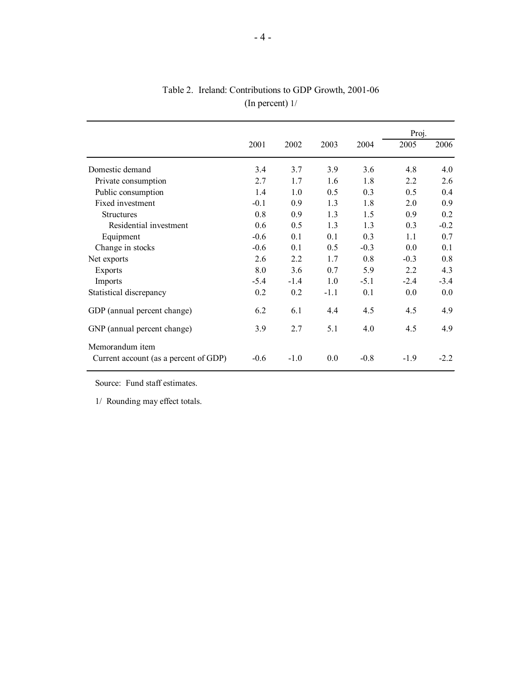| 2001   | 2002   | 2003   | 2004   | 2005   | 2006   |
|--------|--------|--------|--------|--------|--------|
| 3.4    | 3.7    | 3.9    | 3.6    | 4.8    | 4.0    |
| 2.7    | 1.7    | 1.6    | 1.8    | 2.2    | 2.6    |
| 1.4    | 1.0    | 0.5    | 0.3    | 0.5    | 0.4    |
| $-0.1$ | 0.9    | 1.3    | 1.8    | 2.0    | 0.9    |
| 0.8    | 0.9    | 1.3    | 1.5    | 0.9    | 0.2    |
| 0.6    | 0.5    | 1.3    | 1.3    | 0.3    | $-0.2$ |
| $-0.6$ | 0.1    | 0.1    | 0.3    | 11     | 0.7    |
| $-0.6$ | 0.1    | 0.5    | $-0.3$ | 0.0    | 0.1    |
| 2.6    | 2.2    | 1.7    | 0.8    | $-0.3$ | 0.8    |
| 8.0    | 3.6    | 0.7    | 5.9    | 2.2    | 4.3    |
| $-5.4$ | $-1.4$ | 1.0    | $-5.1$ | $-2.4$ | $-3.4$ |
| 0.2    | 0.2    | $-1.1$ | 0.1    | 0.0    | 0.0    |
| 6.2    | 6.1    | 4.4    | 4.5    | 4.5    | 4.9    |
| 3.9    | 2.7    | 5.1    | 4.0    | 4.5    | 4.9    |
| $-0.6$ | $-1.0$ | 0.0    | $-0.8$ | $-1.9$ | $-2.2$ |
|        |        |        |        |        | Proj.  |

### Table 2. Ireland: Contributions to GDP Growth, 2001-06 (In percent) 1/

Source: Fund staff estimates.

1/ Rounding may effect totals.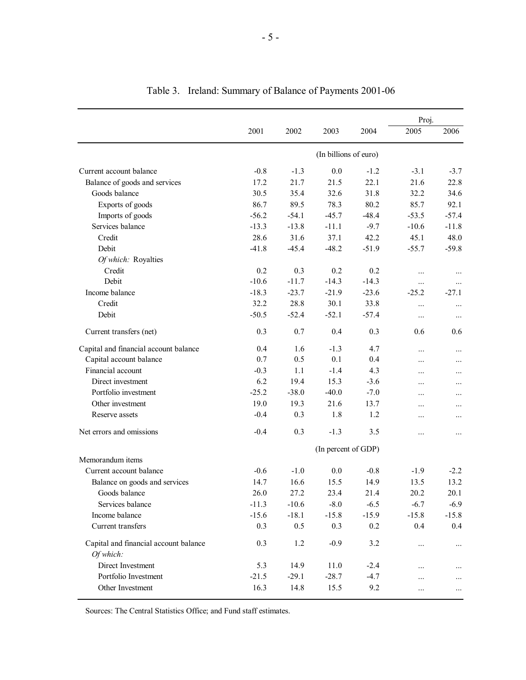|                                                    |         |         |                       |         | Proj.    |          |
|----------------------------------------------------|---------|---------|-----------------------|---------|----------|----------|
|                                                    | 2001    | 2002    | 2003                  | 2004    | 2005     | 2006     |
|                                                    |         |         | (In billions of euro) |         |          |          |
| Current account balance                            | $-0.8$  | $-1.3$  | 0.0                   | $-1.2$  | $-3.1$   | $-3.7$   |
| Balance of goods and services                      | 17.2    | 21.7    | 21.5                  | 22.1    | 21.6     | 22.8     |
| Goods balance                                      | 30.5    | 35.4    | 32.6                  | 31.8    | 32.2     | 34.6     |
| Exports of goods                                   | 86.7    | 89.5    | 78.3                  | 80.2    | 85.7     | 92.1     |
| Imports of goods                                   | $-56.2$ | $-54.1$ | $-45.7$               | $-48.4$ | $-53.5$  | $-57.4$  |
| Services balance                                   | $-13.3$ | $-13.8$ | $-11.1$               | $-9.7$  | $-10.6$  | $-11.8$  |
| Credit                                             | 28.6    | 31.6    | 37.1                  | 42.2    | 45.1     | 48.0     |
| Debit                                              | $-41.8$ | $-45.4$ | $-48.2$               | $-51.9$ | $-55.7$  | $-59.8$  |
| Of which: Royalties                                |         |         |                       |         |          |          |
| Credit                                             | 0.2     | 0.3     | 0.2                   | 0.2     | .        |          |
| Debit                                              | $-10.6$ | $-11.7$ | $-14.3$               | $-14.3$ | $\cdots$ |          |
| Income balance                                     | $-18.3$ | $-23.7$ | $-21.9$               | $-23.6$ | $-25.2$  | $-27.1$  |
| Credit                                             | 32.2    | 28.8    | 30.1                  | 33.8    | .        | .        |
| Debit                                              | $-50.5$ | $-52.4$ | $-52.1$               | $-57.4$ | $\cdots$ | $\cdots$ |
| Current transfers (net)                            | 0.3     | 0.7     | 0.4                   | 0.3     | 0.6      | 0.6      |
| Capital and financial account balance              | 0.4     | 1.6     | $-1.3$                | 4.7     | .        | $\cdots$ |
| Capital account balance                            | 0.7     | 0.5     | 0.1                   | 0.4     | .        |          |
| Financial account                                  | $-0.3$  | 1.1     | $-1.4$                | 4.3     | .        |          |
| Direct investment                                  | 6.2     | 19.4    | 15.3                  | $-3.6$  | .        |          |
| Portfolio investment                               | $-25.2$ | $-38.0$ | $-40.0$               | $-7.0$  | .        | .        |
| Other investment                                   | 19.0    | 19.3    | 21.6                  | 13.7    | .        | .        |
| Reserve assets                                     | $-0.4$  | 0.3     | 1.8                   | 1.2     | .        |          |
| Net errors and omissions                           | $-0.4$  | 0.3     | $-1.3$                | 3.5     | .        | .        |
|                                                    |         |         | (In percent of GDP)   |         |          |          |
| Memorandum items                                   |         |         |                       |         |          |          |
| Current account balance                            | $-0.6$  | $-1.0$  | 0.0                   | $-0.8$  | $-1.9$   | $-2.2$   |
| Balance on goods and services                      | 14.7    | 16.6    | 15.5                  | 14.9    | 13.5     | 13.2     |
| Goods balance                                      | 26.0    | 27.2    | 23.4                  | 21.4    | 20.2     | 20.1     |
| Services balance                                   | $-11.3$ | $-10.6$ | $-8.0$                | $-6.5$  | $-6.7$   | $-6.9$   |
| Income balance                                     | $-15.6$ | $-18.1$ | $-15.8$               | $-15.9$ | $-15.8$  | $-15.8$  |
| Current transfers                                  | 0.3     | 0.5     | 0.3                   | 0.2     | 0.4      | 0.4      |
| Capital and financial account balance<br>Of which: | 0.3     | 1.2     | $-0.9$                | 3.2     | .        | $\cdots$ |
| Direct Investment                                  |         |         |                       |         |          |          |
| Portfolio Investment                               | 5.3     | 14.9    | 11.0                  | $-2.4$  |          |          |
|                                                    | $-21.5$ | $-29.1$ | $-28.7$               | $-4.7$  | .        |          |
| Other Investment                                   | 16.3    | 14.8    | 15.5                  | 9.2     | .        | $\cdots$ |

| Table 3. Ireland: Summary of Balance of Payments 2001-06 |
|----------------------------------------------------------|
|----------------------------------------------------------|

Sources: The Central Statistics Office; and Fund staff estimates.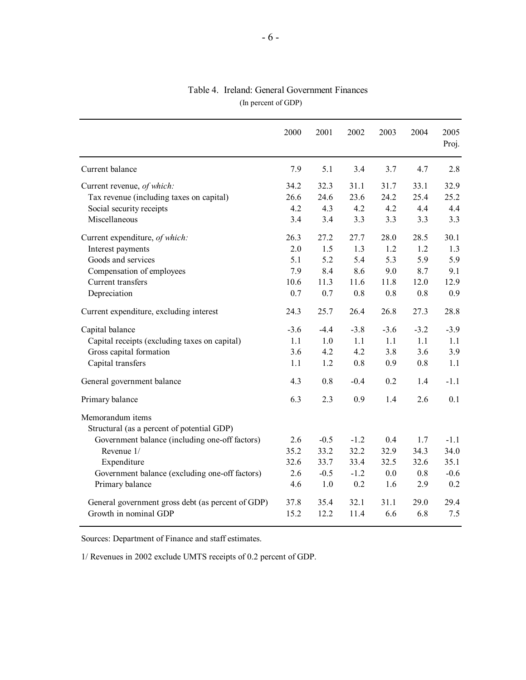|                                                                | 2000   | 2001   | 2002   | 2003   | 2004   | 2005<br>Proj. |
|----------------------------------------------------------------|--------|--------|--------|--------|--------|---------------|
| Current balance                                                | 7.9    | 5.1    | 3.4    | 3.7    | 4.7    | 2.8           |
| Current revenue, of which:                                     | 34.2   | 32.3   | 31.1   | 31.7   | 33.1   | 32.9          |
| Tax revenue (including taxes on capital)                       | 26.6   | 24.6   | 23.6   | 24.2   | 25.4   | 25.2          |
| Social security receipts                                       | 4.2    | 4.3    | 4.2    | 4.2    | 4.4    | 4.4           |
| Miscellaneous                                                  | 3.4    | 3.4    | 3.3    | 3.3    | 3.3    | 3.3           |
| Current expenditure, of which:                                 | 26.3   | 27.2   | 27.7   | 28.0   | 28.5   | 30.1          |
| Interest payments                                              | 2.0    | 1.5    | 1.3    | 1.2    | 1.2    | 1.3           |
| Goods and services                                             | 5.1    | 5.2    | 5.4    | 5.3    | 5.9    | 5.9           |
| Compensation of employees                                      | 7.9    | 8.4    | 8.6    | 9.0    | 8.7    | 9.1           |
| Current transfers                                              | 10.6   | 11.3   | 11.6   | 11.8   | 12.0   | 12.9          |
| Depreciation                                                   | 0.7    | 0.7    | 0.8    | 0.8    | 0.8    | 0.9           |
| Current expenditure, excluding interest                        | 24.3   | 25.7   | 26.4   | 26.8   | 27.3   | 28.8          |
| Capital balance                                                | $-3.6$ | $-4.4$ | $-3.8$ | $-3.6$ | $-3.2$ | $-3.9$        |
| Capital receipts (excluding taxes on capital)                  | 1.1    | 1.0    | 1.1    | 1.1    | 1.1    | 1.1           |
| Gross capital formation                                        | 3.6    | 4.2    | 4.2    | 3.8    | 3.6    | 3.9           |
| Capital transfers                                              | 1.1    | 1.2    | 0.8    | 0.9    | 0.8    | 1.1           |
| General government balance                                     | 4.3    | 0.8    | $-0.4$ | 0.2    | 1.4    | $-1.1$        |
| Primary balance                                                | 6.3    | 2.3    | 0.9    | 1.4    | 2.6    | 0.1           |
| Memorandum items<br>Structural (as a percent of potential GDP) |        |        |        |        |        |               |
| Government balance (including one-off factors)                 | 2.6    | $-0.5$ | $-1.2$ | 0.4    | 1.7    | $-1.1$        |
| Revenue 1/                                                     | 35.2   | 33.2   | 32.2   | 32.9   | 34.3   | 34.0          |
| Expenditure                                                    | 32.6   | 33.7   | 33.4   | 32.5   | 32.6   | 35.1          |
| Government balance (excluding one-off factors)                 | 2.6    | $-0.5$ | $-1.2$ | 0.0    | 0.8    | $-0.6$        |
| Primary balance                                                | 4.6    | 1.0    | 0.2    | 1.6    | 2.9    | 0.2           |
| General government gross debt (as percent of GDP)              | 37.8   | 35.4   | 32.1   | 31.1   | 29.0   | 29.4          |
| Growth in nominal GDP                                          | 15.2   | 12.2   | 11.4   | 6.6    | 6.8    | 7.5           |

### (In percent of GDP) Table 4. Ireland: General Government Finances

Sources: Department of Finance and staff estimates.

1/ Revenues in 2002 exclude UMTS receipts of 0.2 percent of GDP.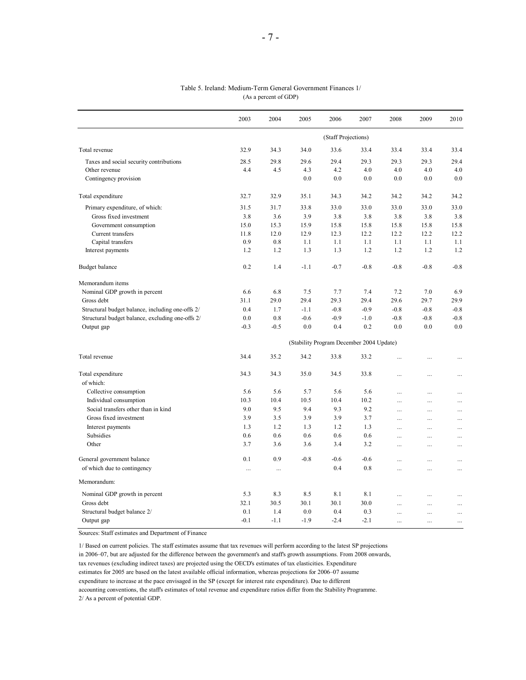|                                                  | 2003   | 2004     | 2005   | 2006                                     | 2007   | 2008      | 2009      | 2010      |
|--------------------------------------------------|--------|----------|--------|------------------------------------------|--------|-----------|-----------|-----------|
|                                                  |        |          |        | (Staff Projections)                      |        |           |           |           |
| Total revenue                                    | 32.9   | 34.3     | 34.0   | 33.6                                     | 33.4   | 33.4      | 33.4      | 33.4      |
| Taxes and social security contributions          | 28.5   | 29.8     | 29.6   | 29.4                                     | 29.3   | 29.3      | 29.3      | 29.4      |
| Other revenue                                    | 4.4    | 4.5      | 4.3    | 4.2                                      | 4.0    | 4.0       | 4.0       | 4.0       |
| Contingency provision                            |        |          | 0.0    | 0.0                                      | 0.0    | 0.0       | 0.0       | 0.0       |
| Total expenditure                                | 32.7   | 32.9     | 35.1   | 34.3                                     | 34.2   | 34.2      | 34.2      | 34.2      |
| Primary expenditure, of which:                   | 31.5   | 31.7     | 33.8   | 33.0                                     | 33.0   | 33.0      | 33.0      | 33.0      |
| Gross fixed investment                           | 3.8    | 3.6      | 3.9    | 3.8                                      | 3.8    | 3.8       | 3.8       | 3.8       |
| Government consumption                           | 15.0   | 15.3     | 15.9   | 15.8                                     | 15.8   | 15.8      | 15.8      | 15.8      |
| Current transfers                                | 11.8   | 12.0     | 12.9   | 12.3                                     | 12.2   | 12.2      | 12.2      | 12.2      |
| Capital transfers                                | 0.9    | 0.8      | 1.1    | 1.1                                      | 1.1    | 1.1       | 1.1       | 1.1       |
| Interest payments                                | 1.2    | 1.2      | 1.3    | 1.3                                      | 1.2    | 1.2       | 1.2       | 1.2       |
| Budget balance                                   | 0.2    | 1.4      | $-1.1$ | $-0.7$                                   | $-0.8$ | $-0.8$    | $-0.8$    | $-0.8$    |
| Memorandum items                                 |        |          |        |                                          |        |           |           |           |
| Nominal GDP growth in percent                    | 6.6    | 6.8      | 7.5    | 7.7                                      | 7.4    | 7.2       | 7.0       | 6.9       |
| Gross debt                                       | 31.1   | 29.0     | 29.4   | 29.3                                     | 29.4   | 29.6      | 29.7      | 29.9      |
| Structural budget balance, including one-offs 2/ | 0.4    | 1.7      | $-1.1$ | $-0.8$                                   | $-0.9$ | $-0.8$    | $-0.8$    | $-0.8$    |
| Structural budget balance, excluding one-offs 2/ | 0.0    | 0.8      | $-0.6$ | $-0.9$                                   | $-1.0$ | $-0.8$    | $-0.8$    | $-0.8$    |
| Output gap                                       | $-0.3$ | $-0.5$   | 0.0    | 0.4                                      | 0.2    | 0.0       | 0.0       | 0.0       |
|                                                  |        |          |        | (Stability Program December 2004 Update) |        |           |           |           |
| Total revenue                                    | 34.4   | 35.2     | 34.2   | 33.8                                     | 33.2   |           |           | $\cdots$  |
| Total expenditure                                | 34.3   | 34.3     | 35.0   | 34.5                                     | 33.8   | $\ddotsc$ | $\ddotsc$ | $\ddotsc$ |
| of which:                                        |        |          |        |                                          |        |           |           |           |
| Collective consumption                           | 5.6    | 5.6      | 5.7    | 5.6                                      | 5.6    |           | $\cdots$  | $\ddots$  |
| Individual consumption                           | 10.3   | 10.4     | 10.5   | 10.4                                     | 10.2   | $\cdots$  |           | $\ddotsc$ |
| Social transfers other than in kind              | 9.0    | 9.5      | 9.4    | 9.3                                      | 9.2    |           |           | $\ldots$  |
| Gross fixed investment                           | 3.9    | 3.5      | 3.9    | 3.9                                      | 3.7    | $\cdots$  | $\cdots$  | $\ddotsc$ |
| Interest payments                                | 1.3    | 1.2      | 1.3    | 1.2                                      | 1.3    | $\cdots$  | $\cdots$  | $\ddotsc$ |
| Subsidies                                        | 0.6    | 0.6      | 0.6    | 0.6                                      | 0.6    | $\cdots$  | $\cdots$  | $\ddotsc$ |
| Other                                            | 3.7    | 3.6      | 3.6    | 3.4                                      | 3.2    | $\cdots$  | $\cdots$  | $\ddotsc$ |
| General government balance                       | 0.1    | 0.9      | $-0.8$ | $-0.6$                                   | $-0.6$ |           | .         | $\cdots$  |
| of which due to contingency                      |        | $\ddots$ |        | 0.4                                      | 0.8    | .         | $\cdots$  | $\ddotsc$ |
| Memorandum:                                      |        |          |        |                                          |        |           |           |           |
| Nominal GDP growth in percent                    | 5.3    | 8.3      | 8.5    | 8.1                                      | 8.1    | $\ddotsc$ | $\ddotsc$ | $\ddots$  |
| Gross debt                                       | 32.1   | 30.5     | 30.1   | 30.1                                     | 30.0   | $\ddotsc$ | $\ddotsc$ | $\ddotsc$ |
| Structural budget balance 2/                     | 0.1    | 1.4      | 0.0    | 0.4                                      | 0.3    |           | $\cdots$  |           |
| Output gap                                       | $-0.1$ | $-1.1$   | $-1.9$ | $-2.4$                                   | $-2.1$ | .         | .         | .         |

#### Table 5. Ireland: Medium-Term General Government Finances 1/ (As a percent of GDP)

Sources: Staff estimates and Department of Finance

1/ Based on current policies. The staff estimates assume that tax revenues will perform according to the latest SP projections in 2006–07, but are adjusted for the difference between the government's and staff's growth assumptions. From 2008 onwards, tax revenues (excluding indirect taxes) are projected using the OECD's estimates of tax elasticities. Expenditure estimates for 2005 are based on the latest available official information, whereas projections for 2006–07 assume expenditure to increase at the pace envisaged in the SP (except for interest rate expenditure). Due to different accounting conventions, the staff's estimates of total revenue and expenditure ratios differ from the Stability Programme. 2/ As a percent of potential GDP.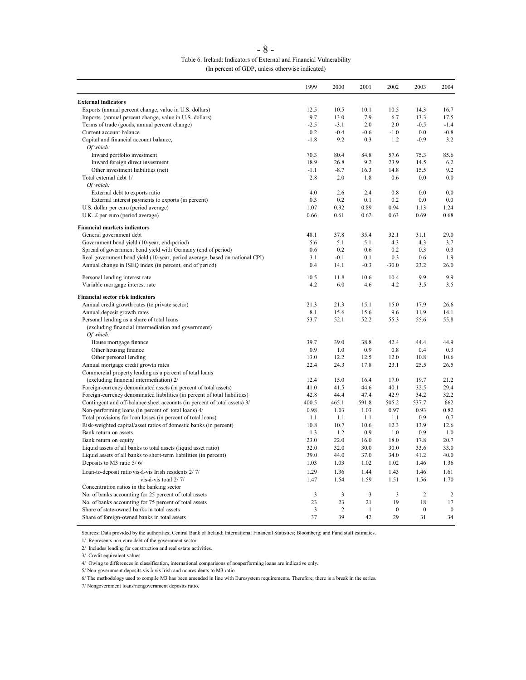| Table 6. Ireland: Indicators of External and Financial Vulnerability |
|----------------------------------------------------------------------|
| (In percent of GDP, unless otherwise indicated)                      |

|                                                                                                                                             | 1999        | 2000           | 2001         | 2002         | 2003           | 2004             |
|---------------------------------------------------------------------------------------------------------------------------------------------|-------------|----------------|--------------|--------------|----------------|------------------|
| <b>External indicators</b>                                                                                                                  |             |                |              |              |                |                  |
| Exports (annual percent change, value in U.S. dollars)                                                                                      | 12.5        | 10.5           | 10.1         | 10.5         | 14.3           | 16.7             |
| Imports (annual percent change, value in U.S. dollars)                                                                                      | 9.7         | 13.0           | 7.9          | 6.7          | 13.3           | 17.5             |
| Terms of trade (goods, annual percent change)                                                                                               | $-2.5$      | $-3.1$         | 2.0          | 2.0          | $-0.5$         | $-1.4$           |
| Current account balance                                                                                                                     | 0.2         | $-0.4$         | $-0.6$       | $-1.0$       | 0.0            | $-0.8$           |
| Capital and financial account balance,                                                                                                      | $-1.8$      | 9.2            | 0.3          | 1.2          | $-0.9$         | 3.2              |
| Of which:                                                                                                                                   |             |                |              |              |                |                  |
| Inward portfolio investment                                                                                                                 | 70.3        | 80.4           | 84.8         | 57.6         | 75.3           | 85.6             |
| Inward foreign direct investment                                                                                                            | 18.9        | 26.8           | 9.2          | 23.9         | 14.5           | 6.2              |
| Other investment liabilities (net)                                                                                                          | $-1.1$      | $-8.7$         | 16.3         | 14.8         | 15.5           | 9.2              |
| Total external debt 1/                                                                                                                      | 2.8         | 2.0            | 1.8          | 0.6          | 0.0            | 0.0              |
| Of which:<br>External debt to exports ratio                                                                                                 | 4.0         | 2.6            | 2.4          | 0.8          | 0.0            | 0.0              |
| External interest payments to exports (in percent)                                                                                          | 0.3         | 0.2            | 0.1          | 0.2          | 0.0            | 0.0              |
| U.S. dollar per euro (period average)                                                                                                       | 1.07        | 0.92           | 0.89         | 0.94         | 1.13           | 1.24             |
| U.K. £ per euro (period average)                                                                                                            | 0.66        | 0.61           | 0.62         | 0.63         | 0.69           | 0.68             |
|                                                                                                                                             |             |                |              |              |                |                  |
| <b>Financial markets indicators</b>                                                                                                         |             |                |              |              |                |                  |
| General government debt                                                                                                                     | 48.1<br>5.6 | 37.8<br>5.1    | 35.4<br>5.1  | 32.1<br>4.3  | 31.1<br>4.3    | 29.0<br>3.7      |
| Government bond yield (10-year, end-period)                                                                                                 | 0.6         | 0.2            | 0.6          | 0.2          | 0.3            | 0.3              |
| Spread of government bond yield with Germany (end of period)<br>Real government bond yield (10-year, period average, based on national CPI) | 3.1         | $-0.1$         | 0.1          | 0.3          | 0.6            | 1.9              |
| Annual change in ISEQ index (in percent, end of period)                                                                                     | 0.4         | 14.1           | $-0.3$       | $-30.0$      | 23.2           | 26.0             |
|                                                                                                                                             |             |                |              |              |                |                  |
| Personal lending interest rate                                                                                                              | 10.5        | 11.8           | 10.6         | 10.4         | 9.9            | 9.9              |
| Variable mortgage interest rate                                                                                                             | 4.2         | 6.0            | 4.6          | 4.2          | 3.5            | 3.5              |
| <b>Financial sector risk indicators</b>                                                                                                     |             |                |              |              |                |                  |
| Annual credit growth rates (to private sector)                                                                                              | 21.3        | 21.3           | 15.1         | 15.0         | 17.9           | 26.6             |
| Annual deposit growth rates                                                                                                                 | 8.1         | 15.6           | 15.6         | 9.6          | 11.9           | 14.1             |
| Personal lending as a share of total loans                                                                                                  | 53.7        | 52.1           | 52.2         | 55.3         | 55.6           | 55.8             |
| (excluding financial intermediation and government)                                                                                         |             |                |              |              |                |                  |
| Of which:<br>House mortgage finance                                                                                                         | 39.7        | 39.0           | 38.8         | 42.4         | 44.4           | 44.9             |
| Other housing finance                                                                                                                       | 0.9         | 1.0            | 0.9          | 0.8          | 0.4            | 0.3              |
| Other personal lending                                                                                                                      | 13.0        | 12.2           | 12.5         | 12.0         | 10.8           | 10.6             |
| Annual mortgage credit growth rates                                                                                                         | 22.4        | 24.3           | 17.8         | 23.1         | 25.5           | 26.5             |
| Commercial property lending as a percent of total loans                                                                                     |             |                |              |              |                |                  |
| (excluding financial intermediation) 2/                                                                                                     | 12.4        | 15.0           | 16.4         | 17.0         | 19.7           | 21.2             |
| Foreign-currency denominated assets (in percent of total assets)                                                                            | 41.0        | 41.5           | 44.6         | 40.1         | 32.5           | 29.4             |
| Foreign-currency denominated liabilities (in percent of total liabilities)                                                                  | 42.8        | 44.4           | 47.4         | 42.9         | 34.2           | 32.2             |
| Contingent and off-balance sheet accounts (in percent of total assets) 3/                                                                   | 400.5       | 465.1          | 591.8        | 505.2        | 537.7          | 662              |
| Non-performing loans (in percent of total loans) 4/                                                                                         | 0.98        | 1.03           | 1.03         | 0.97         | 0.93           | 0.82             |
| Total provisions for loan losses (in percent of total loans)                                                                                | 1.1         | 1.1            | 1.1          | 1.1          | 0.9            | 0.7              |
| Risk-weighted capital/asset ratios of domestic banks (in percent)                                                                           | 10.8        | 10.7           | 10.6         | 12.3         | 13.9           | 12.6             |
| Bank return on assets                                                                                                                       | 1.3         | 1.2            | 0.9          | 1.0          | 0.9            | 1.0              |
| Bank return on equity                                                                                                                       | 23.0        | 22.0           | 16.0         | 18.0         | 17.8           | 20.7             |
| Liquid assets of all banks to total assets (liquid asset ratio)                                                                             | 32.0        | 32.0           | 30.0         | 30.0         | 33.6           | 33.0             |
| Liquid assets of all banks to short-term liabilities (in percent)                                                                           | 39.0        | 44.0           | 37.0         | 34.0         | 41.2           | 40.0             |
| Deposits to M3 ratio 5/6/                                                                                                                   | 1.03        | 1.03           | 1.02         | 1.02         | 1.46           | 1.36             |
| Loan-to-deposit ratio vis-à-vis Irish residents 2/7/                                                                                        | 1.29        | 1.36           | 1.44         | 1.43         | 1.46           | 1.61             |
| vis-à-vis total 2/7/                                                                                                                        | 1.47        | 1.54           | 1.59         | 1.51         | 1.56           | 1.70             |
| Concentration ratios in the banking sector                                                                                                  |             |                |              |              |                |                  |
| No. of banks accounting for 25 percent of total assets                                                                                      | 3           | 3              | 3            | 3            | $\overline{c}$ | $\overline{2}$   |
| No. of banks accounting for 75 percent of total assets                                                                                      | 23          | 23             | 21           | 19           | 18             | 17               |
| Share of state-owned banks in total assets                                                                                                  | 3           | $\overline{2}$ | $\mathbf{1}$ | $\mathbf{0}$ | $\mathbf{0}$   | $\boldsymbol{0}$ |
| Share of foreign-owned banks in total assets                                                                                                | 37          | 39             | 42           | 29           | 31             | 34               |

Sources: Data provided by the authorities; Central Bank of Ireland; International Financial Statistics; Bloomberg; and Fund staff estimates.

1/ Represents non-euro debt of the government sector.

2/ Includes lending for construction and real estate activities.

3/ Credit equivalent values.

4/ Owing to differences in classification, international comparisons of nonperforming loans are indicative only.

5/ Non-government deposits vis-à-vis Irish and nonresidents to M3 ratio.

6/ The methodology used to compile M3 has been amended in line with Eurosystem requirements. Therefore, there is a break in the series.

7/ Nongovernment loans/nongovernment deposits ratio.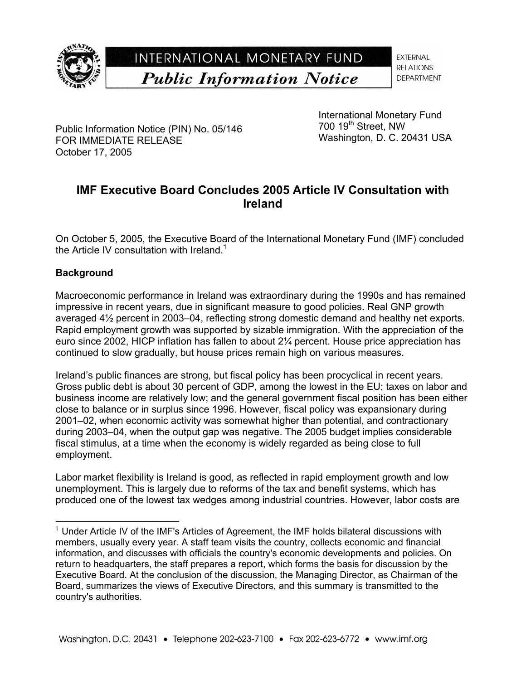

**EXTERNAL RELATIONS DEPARTMENT** 

Public Information Notice (PIN) No. 05/146 FOR IMMEDIATE RELEASE October 17, 2005

International Monetary Fund  $700$  19<sup>th</sup> Street, NW Washington, D. C. 20431 USA

# **IMF Executive Board Concludes 2005 Article IV Consultation with Ireland**

On October 5, 2005, the Executive Board of the International Monetary Fund (IMF) concluded the Article IV consultation with Ireland.<sup>1</sup>

### **Background**

 $\overline{a}$ 

Macroeconomic performance in Ireland was extraordinary during the 1990s and has remained impressive in recent years, due in significant measure to good policies. Real GNP growth averaged 4½ percent in 2003–04, reflecting strong domestic demand and healthy net exports. Rapid employment growth was supported by sizable immigration. With the appreciation of the euro since 2002, HICP inflation has fallen to about 2¼ percent. House price appreciation has continued to slow gradually, but house prices remain high on various measures.

Ireland's public finances are strong, but fiscal policy has been procyclical in recent years. Gross public debt is about 30 percent of GDP, among the lowest in the EU; taxes on labor and business income are relatively low; and the general government fiscal position has been either close to balance or in surplus since 1996. However, fiscal policy was expansionary during 2001–02, when economic activity was somewhat higher than potential, and contractionary during 2003–04, when the output gap was negative. The 2005 budget implies considerable fiscal stimulus, at a time when the economy is widely regarded as being close to full employment.

Labor market flexibility is Ireland is good, as reflected in rapid employment growth and low unemployment. This is largely due to reforms of the tax and benefit systems, which has produced one of the lowest tax wedges among industrial countries. However, labor costs are

 $1$  Under Article IV of the IMF's Articles of Agreement, the IMF holds bilateral discussions with members, usually every year. A staff team visits the country, collects economic and financial information, and discusses with officials the country's economic developments and policies. On return to headquarters, the staff prepares a report, which forms the basis for discussion by the Executive Board. At the conclusion of the discussion, the Managing Director, as Chairman of the Board, summarizes the views of Executive Directors, and this summary is transmitted to the country's authorities.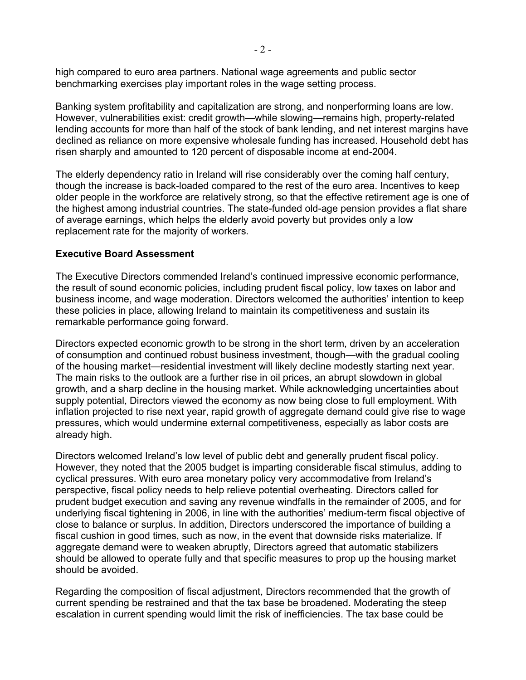high compared to euro area partners. National wage agreements and public sector benchmarking exercises play important roles in the wage setting process.

Banking system profitability and capitalization are strong, and nonperforming loans are low. However, vulnerabilities exist: credit growth—while slowing—remains high, property-related lending accounts for more than half of the stock of bank lending, and net interest margins have declined as reliance on more expensive wholesale funding has increased. Household debt has risen sharply and amounted to 120 percent of disposable income at end-2004.

The elderly dependency ratio in Ireland will rise considerably over the coming half century, though the increase is back-loaded compared to the rest of the euro area. Incentives to keep older people in the workforce are relatively strong, so that the effective retirement age is one of the highest among industrial countries. The state-funded old-age pension provides a flat share of average earnings, which helps the elderly avoid poverty but provides only a low replacement rate for the majority of workers.

### **Executive Board Assessment**

The Executive Directors commended Ireland's continued impressive economic performance, the result of sound economic policies, including prudent fiscal policy, low taxes on labor and business income, and wage moderation. Directors welcomed the authorities' intention to keep these policies in place, allowing Ireland to maintain its competitiveness and sustain its remarkable performance going forward.

Directors expected economic growth to be strong in the short term, driven by an acceleration of consumption and continued robust business investment, though—with the gradual cooling of the housing market—residential investment will likely decline modestly starting next year. The main risks to the outlook are a further rise in oil prices, an abrupt slowdown in global growth, and a sharp decline in the housing market. While acknowledging uncertainties about supply potential, Directors viewed the economy as now being close to full employment. With inflation projected to rise next year, rapid growth of aggregate demand could give rise to wage pressures, which would undermine external competitiveness, especially as labor costs are already high.

Directors welcomed Ireland's low level of public debt and generally prudent fiscal policy. However, they noted that the 2005 budget is imparting considerable fiscal stimulus, adding to cyclical pressures. With euro area monetary policy very accommodative from Ireland's perspective, fiscal policy needs to help relieve potential overheating. Directors called for prudent budget execution and saving any revenue windfalls in the remainder of 2005, and for underlying fiscal tightening in 2006, in line with the authorities' medium-term fiscal objective of close to balance or surplus. In addition, Directors underscored the importance of building a fiscal cushion in good times, such as now, in the event that downside risks materialize. If aggregate demand were to weaken abruptly, Directors agreed that automatic stabilizers should be allowed to operate fully and that specific measures to prop up the housing market should be avoided.

Regarding the composition of fiscal adjustment, Directors recommended that the growth of current spending be restrained and that the tax base be broadened. Moderating the steep escalation in current spending would limit the risk of inefficiencies. The tax base could be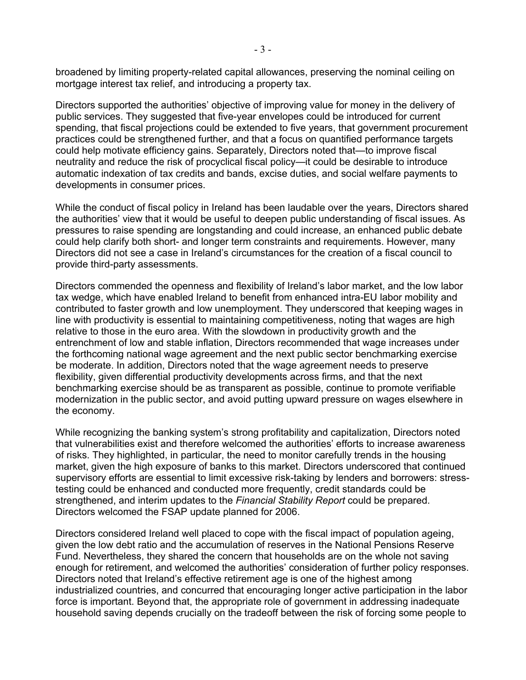broadened by limiting property-related capital allowances, preserving the nominal ceiling on mortgage interest tax relief, and introducing a property tax.

Directors supported the authorities' objective of improving value for money in the delivery of public services. They suggested that five-year envelopes could be introduced for current spending, that fiscal projections could be extended to five years, that government procurement practices could be strengthened further, and that a focus on quantified performance targets could help motivate efficiency gains. Separately, Directors noted that—to improve fiscal neutrality and reduce the risk of procyclical fiscal policy—it could be desirable to introduce automatic indexation of tax credits and bands, excise duties, and social welfare payments to developments in consumer prices.

While the conduct of fiscal policy in Ireland has been laudable over the years, Directors shared the authorities' view that it would be useful to deepen public understanding of fiscal issues. As pressures to raise spending are longstanding and could increase, an enhanced public debate could help clarify both short- and longer term constraints and requirements. However, many Directors did not see a case in Ireland's circumstances for the creation of a fiscal council to provide third-party assessments.

Directors commended the openness and flexibility of Ireland's labor market, and the low labor tax wedge, which have enabled Ireland to benefit from enhanced intra-EU labor mobility and contributed to faster growth and low unemployment. They underscored that keeping wages in line with productivity is essential to maintaining competitiveness, noting that wages are high relative to those in the euro area. With the slowdown in productivity growth and the entrenchment of low and stable inflation, Directors recommended that wage increases under the forthcoming national wage agreement and the next public sector benchmarking exercise be moderate. In addition, Directors noted that the wage agreement needs to preserve flexibility, given differential productivity developments across firms, and that the next benchmarking exercise should be as transparent as possible, continue to promote verifiable modernization in the public sector, and avoid putting upward pressure on wages elsewhere in the economy.

While recognizing the banking system's strong profitability and capitalization, Directors noted that vulnerabilities exist and therefore welcomed the authorities' efforts to increase awareness of risks. They highlighted, in particular, the need to monitor carefully trends in the housing market, given the high exposure of banks to this market. Directors underscored that continued supervisory efforts are essential to limit excessive risk-taking by lenders and borrowers: stresstesting could be enhanced and conducted more frequently, credit standards could be strengthened, and interim updates to the *Financial Stability Report* could be prepared. Directors welcomed the FSAP update planned for 2006.

Directors considered Ireland well placed to cope with the fiscal impact of population ageing, given the low debt ratio and the accumulation of reserves in the National Pensions Reserve Fund. Nevertheless, they shared the concern that households are on the whole not saving enough for retirement, and welcomed the authorities' consideration of further policy responses. Directors noted that Ireland's effective retirement age is one of the highest among industrialized countries, and concurred that encouraging longer active participation in the labor force is important. Beyond that, the appropriate role of government in addressing inadequate household saving depends crucially on the tradeoff between the risk of forcing some people to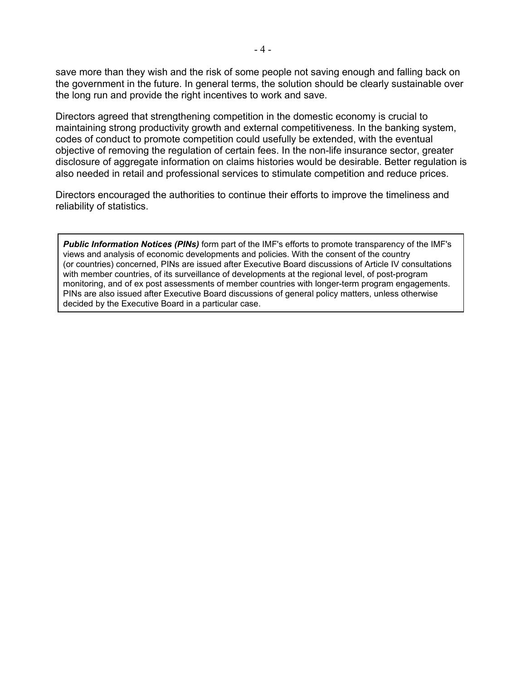save more than they wish and the risk of some people not saving enough and falling back on the government in the future. In general terms, the solution should be clearly sustainable over the long run and provide the right incentives to work and save.

Directors agreed that strengthening competition in the domestic economy is crucial to maintaining strong productivity growth and external competitiveness. In the banking system, codes of conduct to promote competition could usefully be extended, with the eventual objective of removing the regulation of certain fees. In the non-life insurance sector, greater disclosure of aggregate information on claims histories would be desirable. Better regulation is also needed in retail and professional services to stimulate competition and reduce prices.

Directors encouraged the authorities to continue their efforts to improve the timeliness and reliability of statistics.

*Public Information Notices (PINs)* form part of the IMF's efforts to promote transparency of the IMF's views and analysis of economic developments and policies. With the consent of the country (or countries) concerned, PINs are issued after Executive Board discussions of Article IV consultations with member countries, of its surveillance of developments at the regional level, of post-program monitoring, and of ex post assessments of member countries with longer-term program engagements. PINs are also issued after Executive Board discussions of general policy matters, unless otherwise decided by the Executive Board in a particular case.